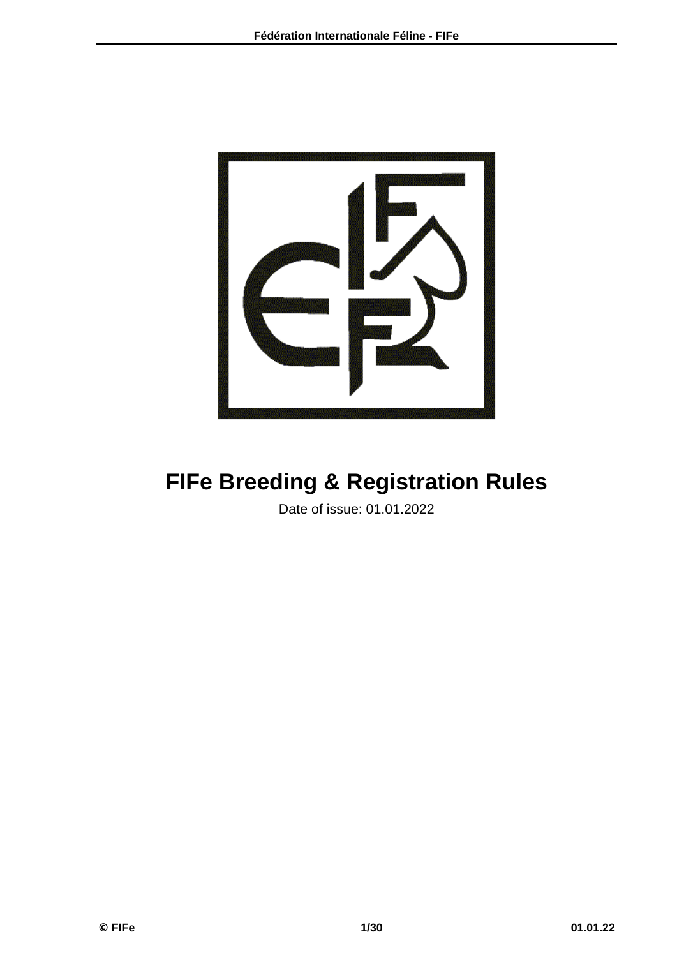

# **FIFe Breeding & Registration Rules**

Date of issue: 01.01.2022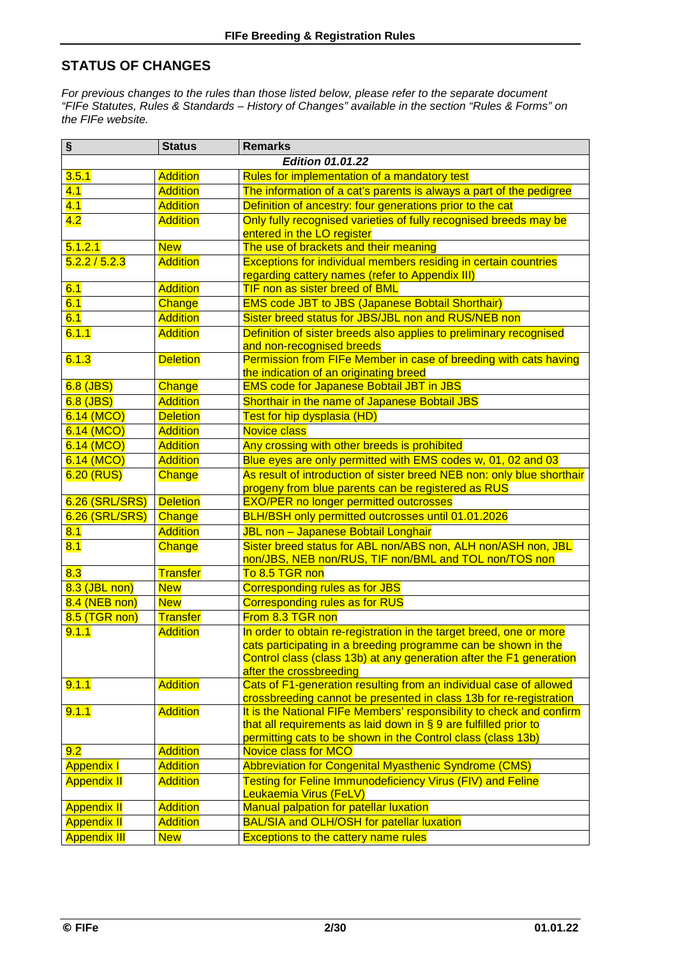### **STATUS OF CHANGES**

*For previous changes to the rules than those listed below, please refer to the separate document "FIFe Statutes, Rules & Standards – History of Changes" available in the section "Rules & Forms" on the FIFe website.*

| $\overline{\mathbf{s}}$ | <b>Status</b>   | <b>Remarks</b>                                                                                                                        |  |  |
|-------------------------|-----------------|---------------------------------------------------------------------------------------------------------------------------------------|--|--|
| <b>Edition 01.01.22</b> |                 |                                                                                                                                       |  |  |
| 3.5.1                   | <b>Addition</b> | Rules for implementation of a mandatory test                                                                                          |  |  |
| 4.1                     | <b>Addition</b> | The information of a cat's parents is always a part of the pedigree                                                                   |  |  |
| 4.1                     | <b>Addition</b> | Definition of ancestry: four generations prior to the cat                                                                             |  |  |
| 4.2                     | <b>Addition</b> | Only fully recognised varieties of fully recognised breeds may be                                                                     |  |  |
|                         |                 | entered in the LO register                                                                                                            |  |  |
| 5.1.2.1                 | <b>New</b>      | The use of brackets and their meaning                                                                                                 |  |  |
| 5.2.2 / 5.2.3           | <b>Addition</b> | <b>Exceptions for individual members residing in certain countries</b>                                                                |  |  |
|                         |                 | regarding cattery names (refer to Appendix III)                                                                                       |  |  |
| 6.1                     | <b>Addition</b> | <b>TIF non as sister breed of BML</b>                                                                                                 |  |  |
| 6.1                     | Change          | <b>EMS code JBT to JBS (Japanese Bobtail Shorthair)</b>                                                                               |  |  |
| 6.1                     | <b>Addition</b> | Sister breed status for JBS/JBL non and RUS/NEB non                                                                                   |  |  |
| 6.1.1                   | <b>Addition</b> | Definition of sister breeds also applies to preliminary recognised<br>and non-recognised breeds                                       |  |  |
| 6.1.3                   | <b>Deletion</b> | Permission from FIFe Member in case of breeding with cats having                                                                      |  |  |
|                         |                 | the indication of an originating breed                                                                                                |  |  |
| $6.8$ (JBS)             | Change          | <b>EMS code for Japanese Bobtail JBT in JBS</b>                                                                                       |  |  |
| $6.8$ (JBS)             | <b>Addition</b> | Shorthair in the name of Japanese Bobtail JBS                                                                                         |  |  |
| 6.14 (MCO)              | <b>Deletion</b> | Test for hip dysplasia (HD)                                                                                                           |  |  |
| 6.14 (MCO)              | <b>Addition</b> | <b>Novice class</b>                                                                                                                   |  |  |
| 6.14 (MCO)              | <b>Addition</b> | Any crossing with other breeds is prohibited                                                                                          |  |  |
| 6.14 (MCO)              | <b>Addition</b> | Blue eyes are only permitted with EMS codes w, 01, 02 and 03                                                                          |  |  |
| $6.20$ (RUS)            | Change          | As result of introduction of sister breed NEB non: only blue shorthair                                                                |  |  |
|                         |                 | progeny from blue parents can be registered as RUS                                                                                    |  |  |
| 6.26 (SRL/SRS)          | <b>Deletion</b> | <b>EXO/PER no longer permitted outcrosses</b>                                                                                         |  |  |
| 6.26 (SRL/SRS)          | Change          | BLH/BSH only permitted outcrosses until 01.01.2026                                                                                    |  |  |
| 8.1                     | <b>Addition</b> | JBL non - Japanese Bobtail Longhair                                                                                                   |  |  |
| 8.1                     | Change          | Sister breed status for ABL non/ABS non, ALH non/ASH non, JBL                                                                         |  |  |
|                         |                 | non/JBS, NEB non/RUS, TIF non/BML and TOL non/TOS non                                                                                 |  |  |
| 8.3                     | <b>Transfer</b> | To 8.5 TGR non                                                                                                                        |  |  |
| 8.3 (JBL non)           | <b>New</b>      | Corresponding rules as for JBS                                                                                                        |  |  |
| 8.4 (NEB non)           | <b>New</b>      | <b>Corresponding rules as for RUS</b>                                                                                                 |  |  |
| 8.5 (TGR non)           | <b>Transfer</b> | From 8.3 TGR non                                                                                                                      |  |  |
| 9.1.1                   | <b>Addition</b> | In order to obtain re-registration in the target breed, one or more                                                                   |  |  |
|                         |                 | cats participating in a breeding programme can be shown in the<br>Control class (class 13b) at any generation after the F1 generation |  |  |
|                         |                 | after the crossbreeding                                                                                                               |  |  |
| 9.1.1                   | <b>Addition</b> | Cats of F1-generation resulting from an individual case of allowed                                                                    |  |  |
|                         |                 | crossbreeding cannot be presented in class 13b for re-registration                                                                    |  |  |
| 9.1.1                   | <b>Addition</b> | It is the National FIFe Members' responsibility to check and confirm                                                                  |  |  |
|                         |                 | that all requirements as laid down in § 9 are fulfilled prior to                                                                      |  |  |
|                         |                 | permitting cats to be shown in the Control class (class 13b)                                                                          |  |  |
| 9.2                     | <b>Addition</b> | <b>Novice class for MCO</b>                                                                                                           |  |  |
| <b>Appendix I</b>       | <b>Addition</b> | Abbreviation for Congenital Myasthenic Syndrome (CMS)                                                                                 |  |  |
| <b>Appendix II</b>      | <b>Addition</b> | <b>Testing for Feline Immunodeficiency Virus (FIV) and Feline</b>                                                                     |  |  |
|                         |                 | Leukaemia Virus (FeLV)                                                                                                                |  |  |
| <b>Appendix II</b>      | <b>Addition</b> | Manual palpation for patellar luxation                                                                                                |  |  |
| <b>Appendix II</b>      | <b>Addition</b> | <b>BAL/SIA and OLH/OSH for patellar luxation</b>                                                                                      |  |  |
| <b>Appendix III</b>     | <b>New</b>      | <b>Exceptions to the cattery name rules</b>                                                                                           |  |  |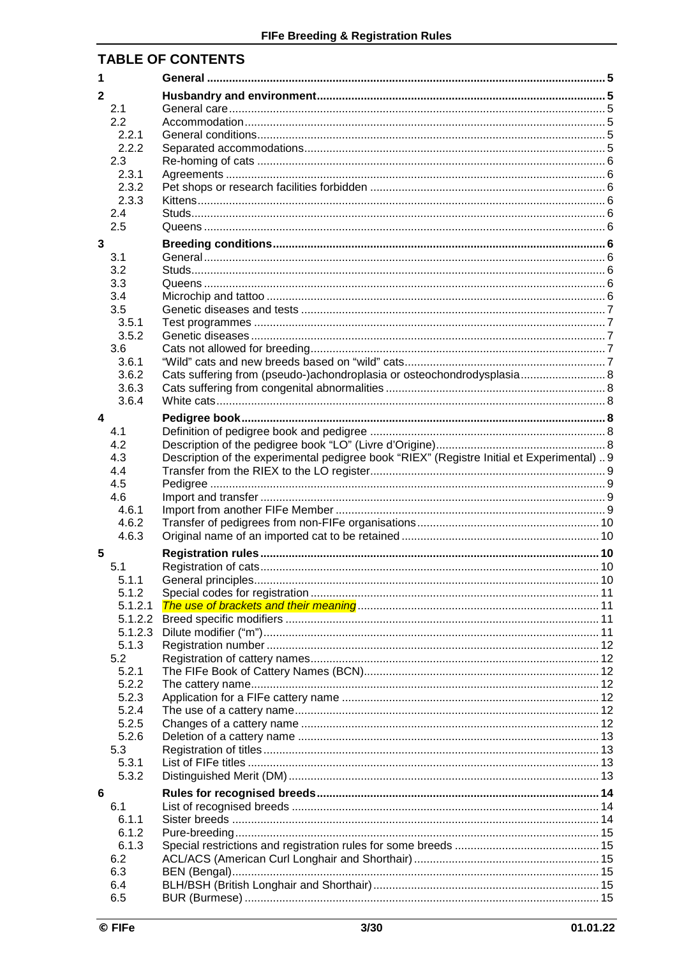| <b>TABLE OF CONTENTS</b> |  |
|--------------------------|--|
|                          |  |

| 1            |                    |                                                                                            |  |
|--------------|--------------------|--------------------------------------------------------------------------------------------|--|
| $\mathbf{2}$ | 2.1                |                                                                                            |  |
|              | 2.2                |                                                                                            |  |
|              | 2.2.1<br>2.2.2     |                                                                                            |  |
|              | 2.3                |                                                                                            |  |
|              | 2.3.1<br>2.3.2     |                                                                                            |  |
|              | 2.3.3              |                                                                                            |  |
|              | 2.4                |                                                                                            |  |
| 3            | 2.5                |                                                                                            |  |
|              | 3.1                |                                                                                            |  |
|              | 3.2                |                                                                                            |  |
|              | 3.3<br>3.4         |                                                                                            |  |
|              | 3.5                |                                                                                            |  |
|              | 3.5.1<br>3.5.2     |                                                                                            |  |
|              | 3.6                |                                                                                            |  |
|              | 3.6.1              |                                                                                            |  |
|              | 3.6.2<br>3.6.3     | Cats suffering from (pseudo-)achondroplasia or osteochondrodysplasia 8                     |  |
|              | 3.6.4              |                                                                                            |  |
| 4            |                    |                                                                                            |  |
|              | 4.1<br>4.2         |                                                                                            |  |
|              | 4.3                | Description of the experimental pedigree book "RIEX" (Registre Initial et Experimental)  9 |  |
|              | 4.4<br>4.5         |                                                                                            |  |
|              | 4.6                |                                                                                            |  |
|              | 4.6.1              |                                                                                            |  |
|              | 4.6.2<br>4.6.3     |                                                                                            |  |
| 5            |                    |                                                                                            |  |
|              | 5.1<br>511         | General principles                                                                         |  |
|              | 5.1.2              |                                                                                            |  |
|              | 5.1.2.1            |                                                                                            |  |
|              | 5.1.2.2<br>5.1.2.3 |                                                                                            |  |
|              | 5.1.3              |                                                                                            |  |
|              | 5.2<br>5.2.1       |                                                                                            |  |
|              | 5.2.2              |                                                                                            |  |
|              | 5.2.3<br>5.2.4     |                                                                                            |  |
|              | 5.2.5              |                                                                                            |  |
|              | 5.2.6              |                                                                                            |  |
|              | 5.3<br>5.3.1       |                                                                                            |  |
|              | 5.3.2              |                                                                                            |  |
| 6            |                    |                                                                                            |  |
|              | 6.1<br>6.1.1       |                                                                                            |  |
|              | 6.1.2              |                                                                                            |  |
|              | 6.1.3<br>6.2       |                                                                                            |  |
|              | 6.3                |                                                                                            |  |
|              | 6.4                |                                                                                            |  |
|              | 6.5                |                                                                                            |  |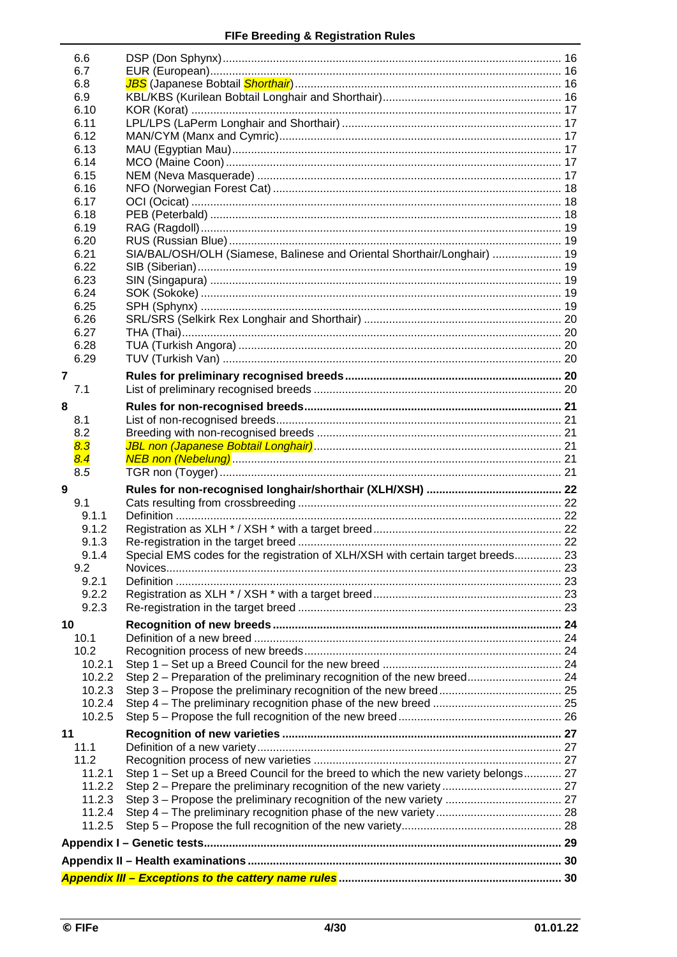|    | 6.6            |                                                                                   |  |
|----|----------------|-----------------------------------------------------------------------------------|--|
|    | 6.7            |                                                                                   |  |
|    | 6.8            |                                                                                   |  |
|    | 6.9            |                                                                                   |  |
|    | 6.10           |                                                                                   |  |
|    | 6.11           |                                                                                   |  |
|    | 6.12           |                                                                                   |  |
|    | 6.13           |                                                                                   |  |
|    | 6.14           |                                                                                   |  |
|    | 6.15           |                                                                                   |  |
|    | 6.16           |                                                                                   |  |
|    | 6.17           |                                                                                   |  |
|    | 6.18           |                                                                                   |  |
|    | 6.19           |                                                                                   |  |
|    | 6.20           |                                                                                   |  |
|    | 6.21           | SIA/BAL/OSH/OLH (Siamese, Balinese and Oriental Shorthair/Longhair)  19           |  |
|    | 6.22           |                                                                                   |  |
|    | 6.23<br>6.24   |                                                                                   |  |
|    | 6.25           |                                                                                   |  |
|    | 6.26           |                                                                                   |  |
|    | 6.27           |                                                                                   |  |
|    | 6.28           |                                                                                   |  |
|    |                |                                                                                   |  |
|    | 6.29           |                                                                                   |  |
| 7  |                |                                                                                   |  |
|    | 7.1            |                                                                                   |  |
| 8  |                |                                                                                   |  |
|    | 8.1            |                                                                                   |  |
|    | 8.2            |                                                                                   |  |
|    | 8.3            |                                                                                   |  |
|    | 8.4            |                                                                                   |  |
|    |                |                                                                                   |  |
|    | 8.5            |                                                                                   |  |
|    |                |                                                                                   |  |
| 9  |                |                                                                                   |  |
|    | 9.1            |                                                                                   |  |
|    | 9.1.1          |                                                                                   |  |
|    | 9.1.2          |                                                                                   |  |
|    | 9.1.3          |                                                                                   |  |
|    | 9.1.4          | Special EMS codes for the registration of XLH/XSH with certain target breeds 23   |  |
|    | 9.2<br>9.2.1   |                                                                                   |  |
|    |                |                                                                                   |  |
|    | 9.2.2<br>9.2.3 |                                                                                   |  |
|    |                |                                                                                   |  |
| 10 |                |                                                                                   |  |
|    | 10.1           |                                                                                   |  |
|    | 10.2           |                                                                                   |  |
|    | 10.2.1         |                                                                                   |  |
|    | 10.2.2         | Step 2 - Preparation of the preliminary recognition of the new breed 24           |  |
|    | 10.2.3         |                                                                                   |  |
|    | 10.2.4         |                                                                                   |  |
|    | 10.2.5         |                                                                                   |  |
| 11 |                |                                                                                   |  |
|    | 11.1           |                                                                                   |  |
|    | 11.2           |                                                                                   |  |
|    | 11.2.1         | Step 1 - Set up a Breed Council for the breed to which the new variety belongs 27 |  |
|    | 11.2.2         |                                                                                   |  |
|    | 11.2.3         |                                                                                   |  |
|    | 11.2.4         |                                                                                   |  |
|    | 11.2.5         |                                                                                   |  |
|    |                |                                                                                   |  |
|    |                |                                                                                   |  |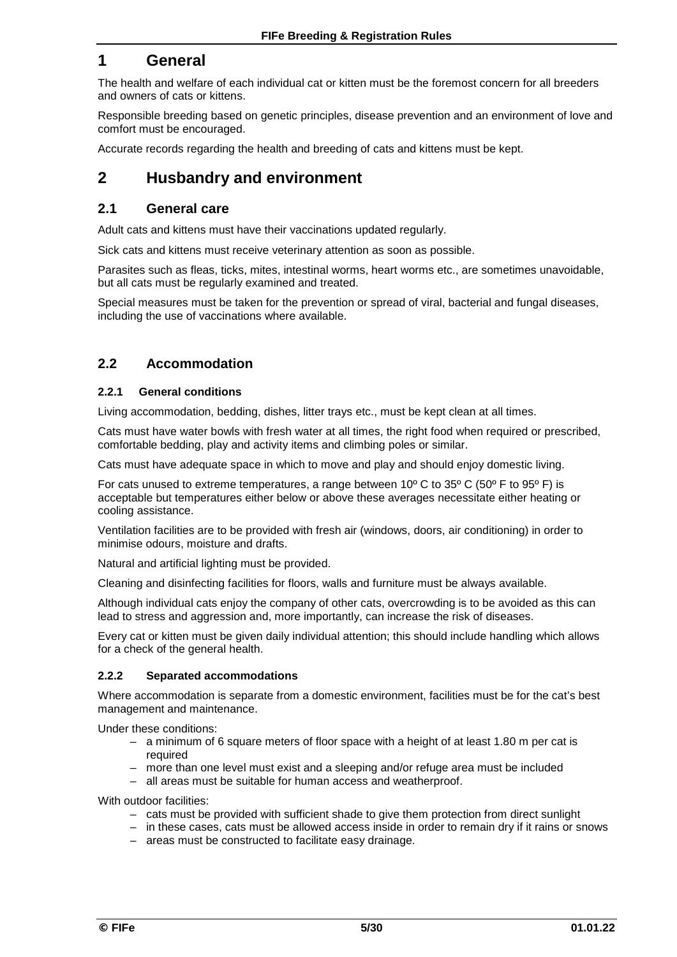# **1 General**

The health and welfare of each individual cat or kitten must be the foremost concern for all breeders and owners of cats or kittens.

Responsible breeding based on genetic principles, disease prevention and an environment of love and comfort must be encouraged.

Accurate records regarding the health and breeding of cats and kittens must be kept.

# **2 Husbandry and environment**

### **2.1 General care**

Adult cats and kittens must have their vaccinations updated regularly.

Sick cats and kittens must receive veterinary attention as soon as possible.

Parasites such as fleas, ticks, mites, intestinal worms, heart worms etc., are sometimes unavoidable, but all cats must be regularly examined and treated.

Special measures must be taken for the prevention or spread of viral, bacterial and fungal diseases, including the use of vaccinations where available.

### **2.2 Accommodation**

### **2.2.1 General conditions**

Living accommodation, bedding, dishes, litter trays etc., must be kept clean at all times.

Cats must have water bowls with fresh water at all times, the right food when required or prescribed, comfortable bedding, play and activity items and climbing poles or similar.

Cats must have adequate space in which to move and play and should enjoy domestic living.

For cats unused to extreme temperatures, a range between 10º C to 35º C (50º F to 95º F) is acceptable but temperatures either below or above these averages necessitate either heating or cooling assistance.

Ventilation facilities are to be provided with fresh air (windows, doors, air conditioning) in order to minimise odours, moisture and drafts.

Natural and artificial lighting must be provided.

Cleaning and disinfecting facilities for floors, walls and furniture must be always available.

Although individual cats enjoy the company of other cats, overcrowding is to be avoided as this can lead to stress and aggression and, more importantly, can increase the risk of diseases.

Every cat or kitten must be given daily individual attention; this should include handling which allows for a check of the general health.

#### **2.2.2 Separated accommodations**

Where accommodation is separate from a domestic environment, facilities must be for the cat's best management and maintenance.

Under these conditions:

- a minimum of 6 square meters of floor space with a height of at least 1.80 m per cat is required
- more than one level must exist and a sleeping and/or refuge area must be included
- all areas must be suitable for human access and weatherproof.

With outdoor facilities:

- cats must be provided with sufficient shade to give them protection from direct sunlight
- in these cases, cats must be allowed access inside in order to remain dry if it rains or snows
- areas must be constructed to facilitate easy drainage.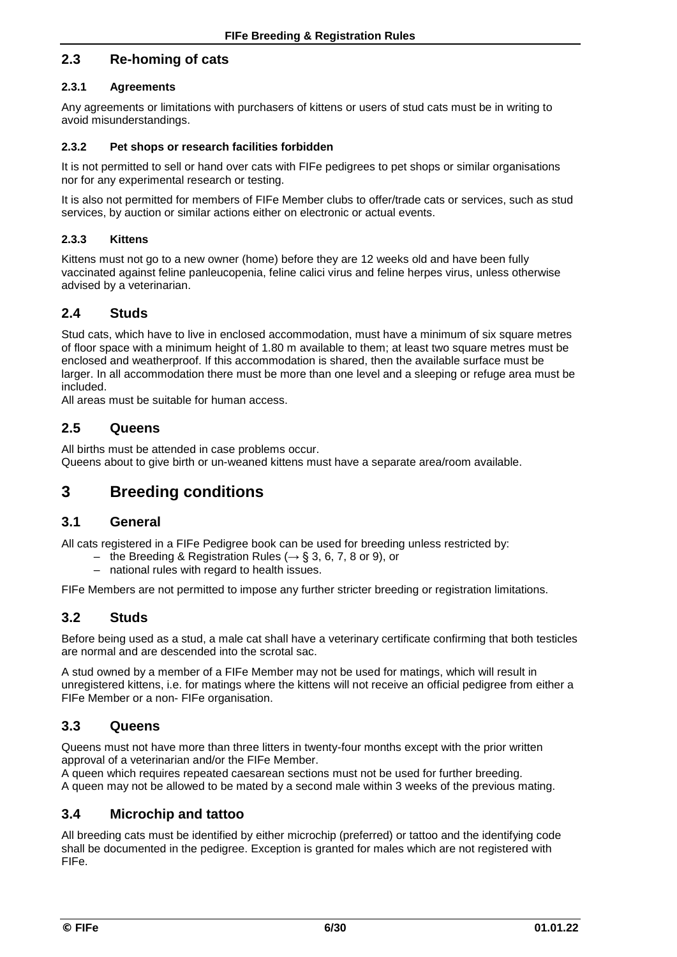### **2.3 Re-homing of cats**

#### **2.3.1 Agreements**

Any agreements or limitations with purchasers of kittens or users of stud cats must be in writing to avoid misunderstandings.

#### **2.3.2 Pet shops or research facilities forbidden**

It is not permitted to sell or hand over cats with FIFe pedigrees to pet shops or similar organisations nor for any experimental research or testing.

It is also not permitted for members of FIFe Member clubs to offer/trade cats or services, such as stud services, by auction or similar actions either on electronic or actual events.

#### **2.3.3 Kittens**

Kittens must not go to a new owner (home) before they are 12 weeks old and have been fully vaccinated against feline panleucopenia, feline calici virus and feline herpes virus, unless otherwise advised by a veterinarian.

### **2.4 Studs**

Stud cats, which have to live in enclosed accommodation, must have a minimum of six square metres of floor space with a minimum height of 1.80 m available to them; at least two square metres must be enclosed and weatherproof. If this accommodation is shared, then the available surface must be larger. In all accommodation there must be more than one level and a sleeping or refuge area must be included.

All areas must be suitable for human access.

### **2.5 Queens**

All births must be attended in case problems occur. Queens about to give birth or un-weaned kittens must have a separate area/room available.

# **3 Breeding conditions**

### **3.1 General**

All cats registered in a FIFe Pedigree book can be used for breeding unless restricted by:

- the Breeding & Registration Rules ( $\rightarrow$  § 3, 6, 7, 8 or 9), or
- national rules with regard to health issues.

FIFe Members are not permitted to impose any further stricter breeding or registration limitations.

### **3.2 Studs**

Before being used as a stud, a male cat shall have a veterinary certificate confirming that both testicles are normal and are descended into the scrotal sac.

A stud owned by a member of a FIFe Member may not be used for matings, which will result in unregistered kittens, i.e. for matings where the kittens will not receive an official pedigree from either a FIFe Member or a non- FIFe organisation.

### **3.3 Queens**

Queens must not have more than three litters in twenty-four months except with the prior written approval of a veterinarian and/or the FIFe Member.

A queen which requires repeated caesarean sections must not be used for further breeding. A queen may not be allowed to be mated by a second male within 3 weeks of the previous mating.

### **3.4 Microchip and tattoo**

All breeding cats must be identified by either microchip (preferred) or tattoo and the identifying code shall be documented in the pedigree. Exception is granted for males which are not registered with FIFe.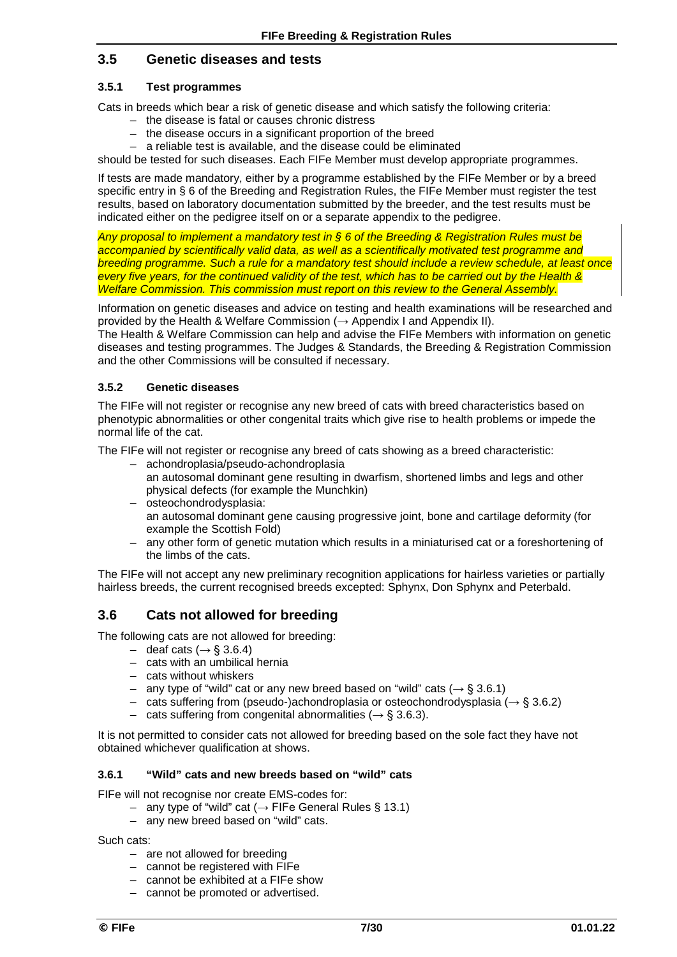### **3.5 Genetic diseases and tests**

#### **3.5.1 Test programmes**

Cats in breeds which bear a risk of genetic disease and which satisfy the following criteria:

- the disease is fatal or causes chronic distress
- the disease occurs in a significant proportion of the breed
- a reliable test is available, and the disease could be eliminated

should be tested for such diseases. Each FIFe Member must develop appropriate programmes.

If tests are made mandatory, either by a programme established by the FIFe Member or by a breed specific entry in § 6 of the Breeding and Registration Rules, the FIFe Member must register the test results, based on laboratory documentation submitted by the breeder, and the test results must be indicated either on the pedigree itself on or a separate appendix to the pedigree.

*Any proposal to implement a mandatory test in § 6 of the Breeding & Registration Rules must be accompanied by scientifically valid data, as well as a scientifically motivated test programme and breeding programme. Such a rule for a mandatory test should include a review schedule, at least once every five years, for the continued validity of the test, which has to be carried out by the Health & Welfare Commission. This commission must report on this review to the General Assembly.*

Information on genetic diseases and advice on testing and health examinations will be researched and provided by the Health & Welfare Commission ( $\rightarrow$  Appendix I and Appendix II).

The Health & Welfare Commission can help and advise the FIFe Members with information on genetic diseases and testing programmes. The Judges & Standards, the Breeding & Registration Commission and the other Commissions will be consulted if necessary.

#### **3.5.2 Genetic diseases**

The FIFe will not register or recognise any new breed of cats with breed characteristics based on phenotypic abnormalities or other congenital traits which give rise to health problems or impede the normal life of the cat.

The FIFe will not register or recognise any breed of cats showing as a breed characteristic:

- achondroplasia/pseudo-achondroplasia
- an autosomal dominant gene resulting in dwarfism, shortened limbs and legs and other physical defects (for example the Munchkin)
- osteochondrodysplasia: an autosomal dominant gene causing progressive joint, bone and cartilage deformity (for example the Scottish Fold)
- any other form of genetic mutation which results in a miniaturised cat or a foreshortening of the limbs of the cats.

The FIFe will not accept any new preliminary recognition applications for hairless varieties or partially hairless breeds, the current recognised breeds excepted: Sphynx, Don Sphynx and Peterbald.

### **3.6 Cats not allowed for breeding**

The following cats are not allowed for breeding:

- deaf cats ( $\rightarrow$  § 3.6.4)
- cats with an umbilical hernia
- cats without whiskers
- any type of "wild" cat or any new breed based on "wild" cats ( $\rightarrow$  § 3.6.1)
- cats suffering from (pseudo-)achondroplasia or osteochondrodysplasia ( $\rightarrow$  § 3.6.2)
- cats suffering from congenital abnormalities ( $\rightarrow$  § 3.6.3).

It is not permitted to consider cats not allowed for breeding based on the sole fact they have not obtained whichever qualification at shows.

### **3.6.1 "Wild" cats and new breeds based on "wild" cats**

FIFe will not recognise nor create EMS-codes for:

- any type of "wild" cat ( $\rightarrow$  FIFe General Rules § 13.1)
- any new breed based on "wild" cats.

Such cats:

- are not allowed for breeding
- cannot be registered with FIFe
- cannot be exhibited at a FIFe show
- cannot be promoted or advertised.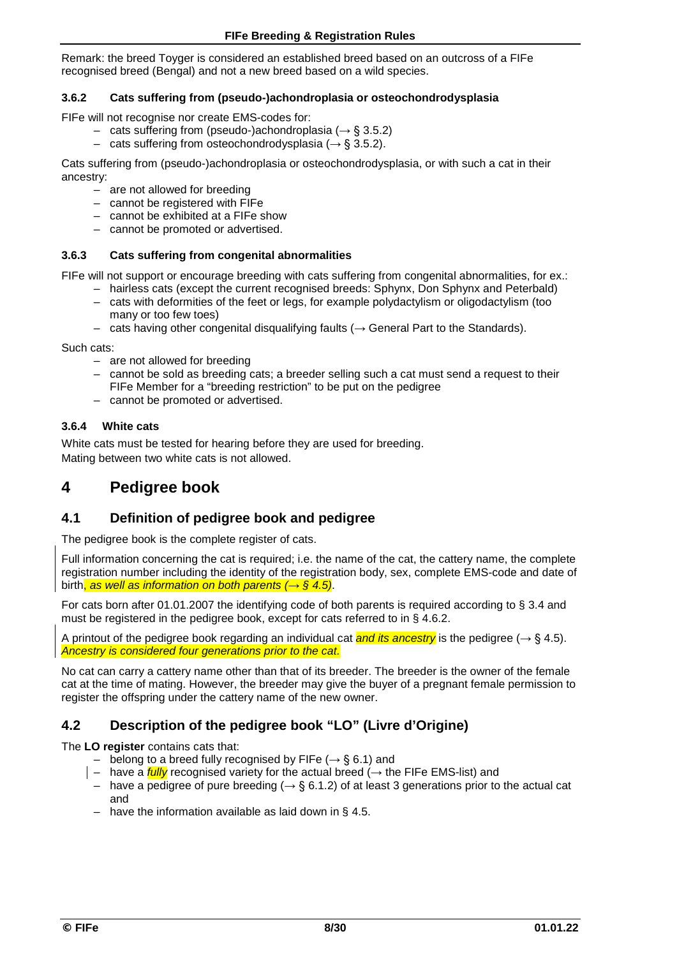Remark: the breed Toyger is considered an established breed based on an outcross of a FIFe recognised breed (Bengal) and not a new breed based on a wild species.

#### **3.6.2 Cats suffering from (pseudo-)achondroplasia or osteochondrodysplasia**

FIFe will not recognise nor create EMS-codes for:

- cats suffering from (pseudo-)achondroplasia ( $\rightarrow$  § 3.5.2)
- cats suffering from osteochondrodysplasia ( $\rightarrow$  § 3.5.2).

Cats suffering from (pseudo-)achondroplasia or osteochondrodysplasia, or with such a cat in their ancestry:

- are not allowed for breeding
- cannot be registered with FIFe
- cannot be exhibited at a FIFe show
- cannot be promoted or advertised.

#### **3.6.3 Cats suffering from congenital abnormalities**

FIFe will not support or encourage breeding with cats suffering from congenital abnormalities, for ex.:

- hairless cats (except the current recognised breeds: Sphynx, Don Sphynx and Peterbald) – cats with deformities of the feet or legs, for example polydactylism or oligodactylism (too many or too few toes)
- cats having other congenital disqualifying faults (→ General Part to the Standards).

Such cats:

- are not allowed for breeding
- cannot be sold as breeding cats; a breeder selling such a cat must send a request to their FIFe Member for a "breeding restriction" to be put on the pedigree
- cannot be promoted or advertised.

#### **3.6.4 White cats**

White cats must be tested for hearing before they are used for breeding. Mating between two white cats is not allowed.

# **4 Pedigree book**

### **4.1 Definition of pedigree book and pedigree**

The pedigree book is the complete register of cats.

Full information concerning the cat is required; i.e. the name of the cat, the cattery name, the complete registration number including the identity of the registration body, sex, complete EMS-code and date of birth, *as well as information on both parents (*→ *§ 4.5)*.

For cats born after 01.01.2007 the identifying code of both parents is required according to § 3.4 and must be registered in the pedigree book, except for cats referred to in § 4.6.2.

A printout of the pedigree book regarding an individual cat **and its ancestry** is the pedigree ( $\rightarrow$  § 4.5). *Ancestry is considered four generations prior to the cat.*

No cat can carry a cattery name other than that of its breeder. The breeder is the owner of the female cat at the time of mating. However, the breeder may give the buyer of a pregnant female permission to register the offspring under the cattery name of the new owner.

### **4.2 Description of the pedigree book "LO" (Livre d'Origine)**

The **LO register** contains cats that:

- belong to a breed fully recognised by FIFe ( $\rightarrow$  § 6.1) and
- have a  $fullv$  recognised variety for the actual breed ( $\rightarrow$  the FIFe EMS-list) and
- have a pedigree of pure breeding ( $\rightarrow$  § 6.1.2) of at least 3 generations prior to the actual cat and
- have the information available as laid down in  $\S$  4.5.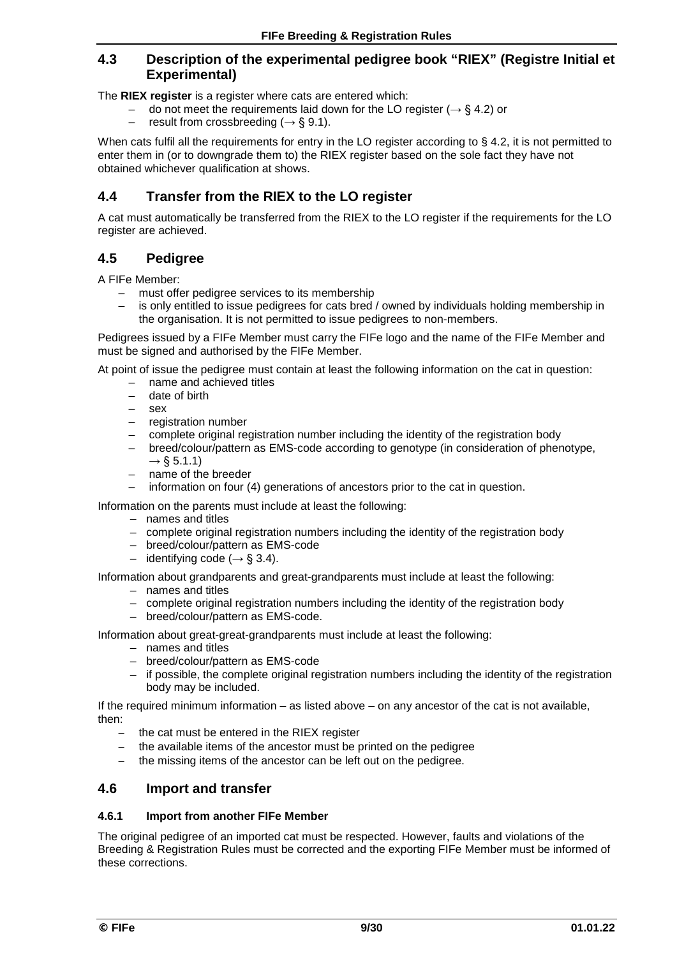### **4.3 Description of the experimental pedigree book "RIEX" (Registre Initial et Experimental)**

The **RIEX register** is a register where cats are entered which:

- do not meet the requirements laid down for the LO register ( $\rightarrow$  § 4.2) or
- result from crossbreeding ( $\rightarrow$  § 9.1).

When cats fulfil all the requirements for entry in the LO register according to § 4.2, it is not permitted to enter them in (or to downgrade them to) the RIEX register based on the sole fact they have not obtained whichever qualification at shows.

### **4.4 Transfer from the RIEX to the LO register**

A cat must automatically be transferred from the RIEX to the LO register if the requirements for the LO register are achieved.

### **4.5 Pedigree**

A FIFe Member:

- must offer pedigree services to its membership
- is only entitled to issue pedigrees for cats bred / owned by individuals holding membership in the organisation. It is not permitted to issue pedigrees to non-members.

Pedigrees issued by a FIFe Member must carry the FIFe logo and the name of the FIFe Member and must be signed and authorised by the FIFe Member.

At point of issue the pedigree must contain at least the following information on the cat in question:

- name and achieved titles
- date of birth
- sex
- registration number
- complete original registration number including the identity of the registration body
- breed/colour/pattern as EMS-code according to genotype (in consideration of phenotype,  $\rightarrow$  § 5.1.1)
- name of the breeder
- information on four (4) generations of ancestors prior to the cat in question.

Information on the parents must include at least the following:

- names and titles
- complete original registration numbers including the identity of the registration body
- breed/colour/pattern as EMS-code
- identifying code ( $\rightarrow$  § 3.4).

Information about grandparents and great-grandparents must include at least the following:

- names and titles
- complete original registration numbers including the identity of the registration body
- breed/colour/pattern as EMS-code.

Information about great-great-grandparents must include at least the following:

- names and titles
- breed/colour/pattern as EMS-code
- if possible, the complete original registration numbers including the identity of the registration body may be included.

If the required minimum information – as listed above – on any ancestor of the cat is not available, then:

- the cat must be entered in the RIEX register
- the available items of the ancestor must be printed on the pedigree
- − the missing items of the ancestor can be left out on the pedigree.

### **4.6 Import and transfer**

#### **4.6.1 Import from another FIFe Member**

The original pedigree of an imported cat must be respected. However, faults and violations of the Breeding & Registration Rules must be corrected and the exporting FIFe Member must be informed of these corrections.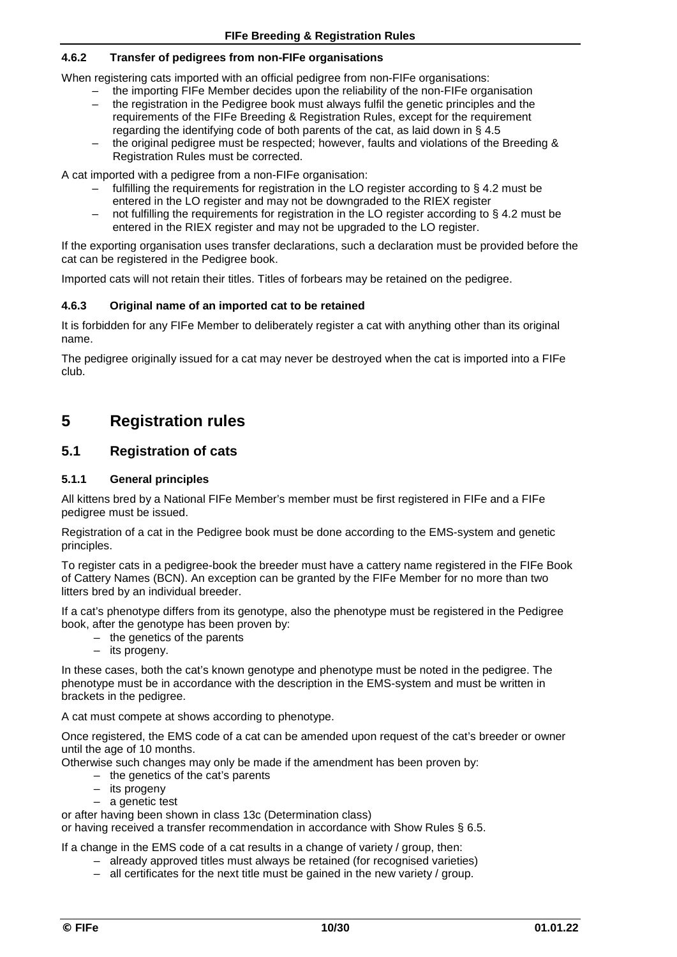#### **4.6.2 Transfer of pedigrees from non-FIFe organisations**

When registering cats imported with an official pedigree from non-FIFe organisations:

- the importing FIFe Member decides upon the reliability of the non-FIFe organisation
- the registration in the Pedigree book must always fulfil the genetic principles and the requirements of the FIFe Breeding & Registration Rules, except for the requirement regarding the identifying code of both parents of the cat, as laid down in § 4.5
- the original pedigree must be respected; however, faults and violations of the Breeding & Registration Rules must be corrected.

A cat imported with a pedigree from a non-FIFe organisation:

- fulfilling the requirements for registration in the LO register according to § 4.2 must be entered in the LO register and may not be downgraded to the RIEX register
- not fulfilling the requirements for registration in the LO register according to § 4.2 must be entered in the RIEX register and may not be upgraded to the LO register.

If the exporting organisation uses transfer declarations, such a declaration must be provided before the cat can be registered in the Pedigree book.

Imported cats will not retain their titles. Titles of forbears may be retained on the pedigree.

#### **4.6.3 Original name of an imported cat to be retained**

It is forbidden for any FIFe Member to deliberately register a cat with anything other than its original name.

The pedigree originally issued for a cat may never be destroyed when the cat is imported into a FIFe club.

# **5 Registration rules**

### **5.1 Registration of cats**

#### **5.1.1 General principles**

All kittens bred by a National FIFe Member's member must be first registered in FIFe and a FIFe pedigree must be issued.

Registration of a cat in the Pedigree book must be done according to the EMS-system and genetic principles.

To register cats in a pedigree-book the breeder must have a cattery name registered in the FIFe Book of Cattery Names (BCN). An exception can be granted by the FIFe Member for no more than two litters bred by an individual breeder.

If a cat's phenotype differs from its genotype, also the phenotype must be registered in the Pedigree book, after the genotype has been proven by:

- the genetics of the parents
- its progeny.

In these cases, both the cat's known genotype and phenotype must be noted in the pedigree. The phenotype must be in accordance with the description in the EMS-system and must be written in brackets in the pedigree.

A cat must compete at shows according to phenotype.

Once registered, the EMS code of a cat can be amended upon request of the cat's breeder or owner until the age of 10 months.

Otherwise such changes may only be made if the amendment has been proven by:

- the genetics of the cat's parents
- its progeny
- a genetic test

or after having been shown in class 13c (Determination class)

or having received a transfer recommendation in accordance with Show Rules § 6.5.

If a change in the EMS code of a cat results in a change of variety / group, then:

- already approved titles must always be retained (for recognised varieties)
- all certificates for the next title must be gained in the new variety / group.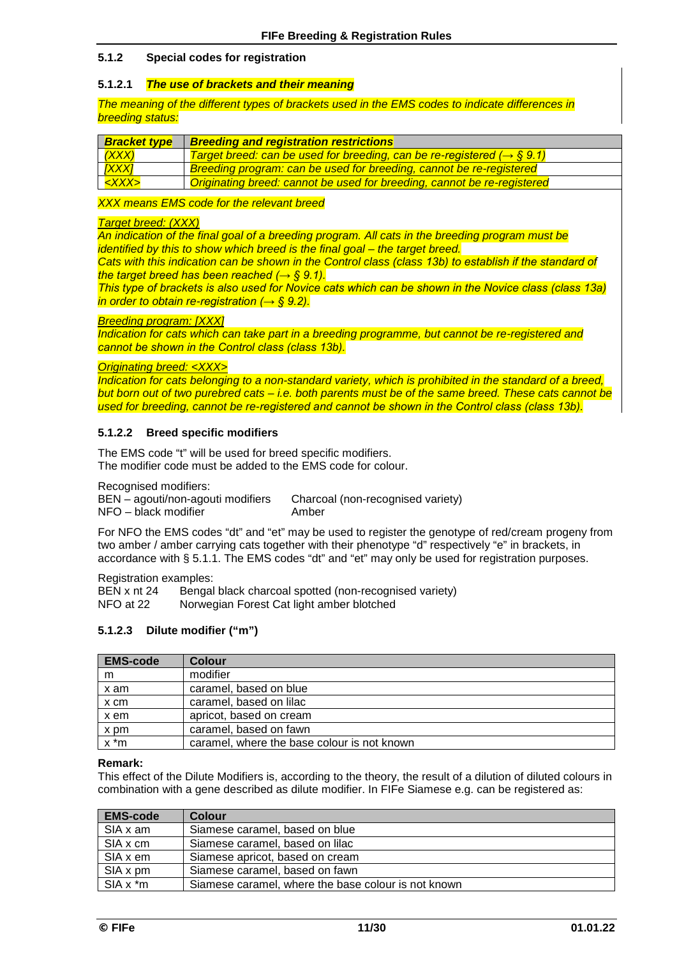#### **5.1.2 Special codes for registration**

#### **5.1.2.1** *The use of brackets and their meaning*

*The meaning of the different types of brackets used in the EMS codes to indicate differences in breeding status:*

| <b>Bracket type</b> | <b>Breeding and registration restrictions</b>                                       |
|---------------------|-------------------------------------------------------------------------------------|
| (XXX)               | Target breed: can be used for breeding, can be re-registered ( $\rightarrow$ § 9.1) |
| [XXX]               | Breeding program: can be used for breeding, cannot be re-registered                 |
| <xxx></xxx>         | Originating breed: cannot be used for breeding, cannot be re-registered             |

*XXX means EMS code for the relevant breed*

#### *Target breed: (XXX)*

*An indication of the final goal of a breeding program. All cats in the breeding program must be identified by this to show which breed is the final goal – the target breed. Cats with this indication can be shown in the Control class (class 13b) to establish if the standard of* 

*the target breed has been reached (→ § 9.1).*

*This type of brackets is also used for Novice cats which can be shown in the Novice class (class 13a) in order to obtain re-registration (→ § 9.2).*

#### *Breeding program: [XXX]*

*Indication for cats which can take part in a breeding programme, but cannot be re-registered and cannot be shown in the Control class (class 13b).*

#### *Originating breed: <XXX>*

*Indication for cats belonging to a non-standard variety, which is prohibited in the standard of a breed, but born out of two purebred cats – i.e. both parents must be of the same breed. These cats cannot be used for breeding, cannot be re-registered and cannot be shown in the Control class (class 13b).*

#### **5.1.2.2 Breed specific modifiers**

The EMS code "t" will be used for breed specific modifiers. The modifier code must be added to the EMS code for colour.

Recognised modifiers:

BEN – agouti/non-agouti modifiers Charcoal (non-recognised variety)<br>NFO – black modifier Amber  $NFO - black$  modifier

For NFO the EMS codes "dt" and "et" may be used to register the genotype of red/cream progeny from two amber / amber carrying cats together with their phenotype "d" respectively "e" in brackets, in accordance with § 5.1.1. The EMS codes "dt" and "et" may only be used for registration purposes.

Registration examples:<br>BEN x nt 24 Bengal BEN x nt 24 Bengal black charcoal spotted (non-recognised variety)<br>NFO at 22 Norwegian Forest Cat light amber blotched Norwegian Forest Cat light amber blotched

### **5.1.2.3 Dilute modifier ("m")**

| <b>EMS-code</b> | <b>Colour</b>                               |
|-----------------|---------------------------------------------|
| m               | modifier                                    |
| x am            | caramel, based on blue                      |
| $x$ cm          | caramel, based on lilac                     |
| x em            | apricot, based on cream                     |
| x pm            | caramel, based on fawn                      |
| x *m            | caramel, where the base colour is not known |

#### **Remark:**

This effect of the Dilute Modifiers is, according to the theory, the result of a dilution of diluted colours in combination with a gene described as dilute modifier. In FIFe Siamese e.g. can be registered as:

| <b>EMS-code</b> | <b>Colour</b>                                       |
|-----------------|-----------------------------------------------------|
| SIA x am        | Siamese caramel, based on blue                      |
| SIA x cm        | Siamese caramel, based on lilac                     |
| SIA x em        | Siamese apricot, based on cream                     |
| SIA x pm        | Siamese caramel, based on fawn                      |
| $SIA x * m$     | Siamese caramel, where the base colour is not known |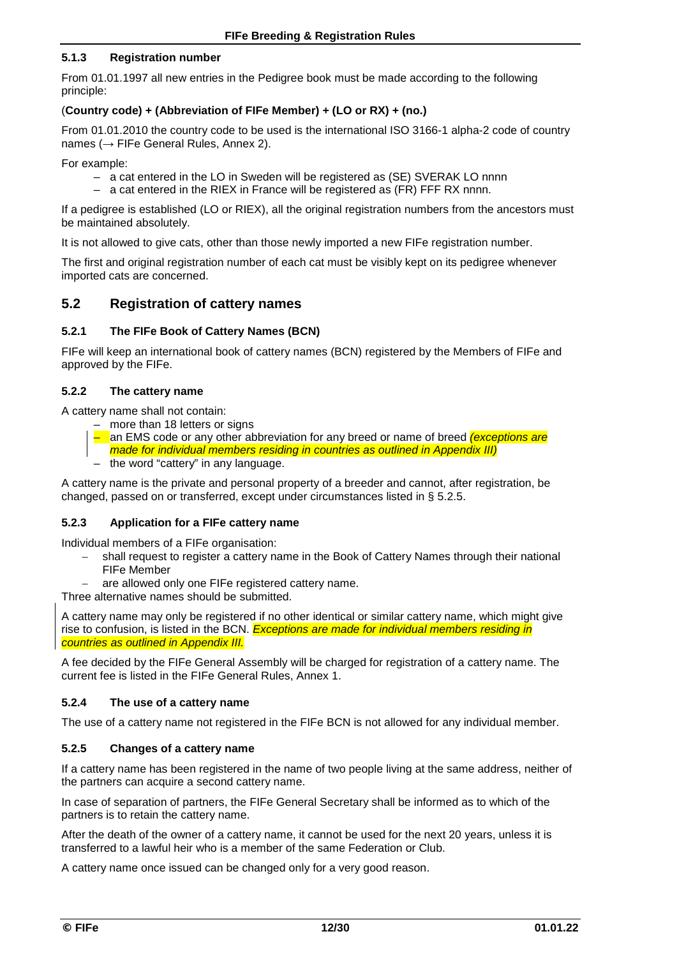#### **5.1.3 Registration number**

From 01.01.1997 all new entries in the Pedigree book must be made according to the following principle:

#### (**Country code) + (Abbreviation of FIFe Member) + (LO or RX) + (no.)**

From 01.01.2010 the country code to be used is the international ISO 3166-1 alpha-2 code of country names (→ FIFe General Rules, Annex 2).

For example:

- a cat entered in the LO in Sweden will be registered as (SE) SVERAK LO nnnn
- a cat entered in the RIEX in France will be registered as (FR) FFF RX nnnn.

If a pedigree is established (LO or RIEX), all the original registration numbers from the ancestors must be maintained absolutely.

It is not allowed to give cats, other than those newly imported a new FIFe registration number.

The first and original registration number of each cat must be visibly kept on its pedigree whenever imported cats are concerned.

### **5.2 Registration of cattery names**

#### **5.2.1 The FIFe Book of Cattery Names (BCN)**

FIFe will keep an international book of cattery names (BCN) registered by the Members of FIFe and approved by the FIFe.

#### **5.2.2 The cattery name**

A cattery name shall not contain:

- more than 18 letters or signs
- an EMS code or any other abbreviation for any breed or name of breed *(exceptions are made for individual members residing in countries as outlined in Appendix III)*
- the word "cattery" in any language.

A cattery name is the private and personal property of a breeder and cannot, after registration, be changed, passed on or transferred, except under circumstances listed in § 5.2.5.

#### **5.2.3 Application for a FIFe cattery name**

Individual members of a FIFe organisation:

- shall request to register a cattery name in the Book of Cattery Names through their national FIFe Member
- are allowed only one FIFe registered cattery name.

Three alternative names should be submitted.

A cattery name may only be registered if no other identical or similar cattery name, which might give rise to confusion, is listed in the BCN. *Exceptions are made for individual members residing in countries as outlined in Appendix III.*

A fee decided by the FIFe General Assembly will be charged for registration of a cattery name. The current fee is listed in the FIFe General Rules, Annex 1.

#### **5.2.4 The use of a cattery name**

The use of a cattery name not registered in the FIFe BCN is not allowed for any individual member.

#### **5.2.5 Changes of a cattery name**

If a cattery name has been registered in the name of two people living at the same address, neither of the partners can acquire a second cattery name.

In case of separation of partners, the FIFe General Secretary shall be informed as to which of the partners is to retain the cattery name.

After the death of the owner of a cattery name, it cannot be used for the next 20 years, unless it is transferred to a lawful heir who is a member of the same Federation or Club.

A cattery name once issued can be changed only for a very good reason.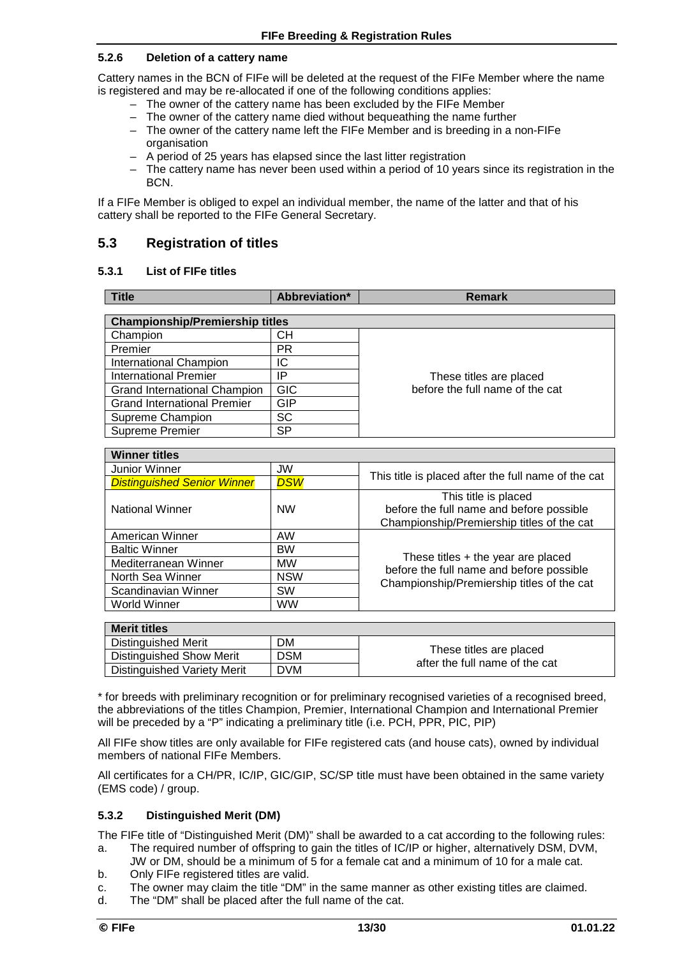### **5.2.6 Deletion of a cattery name**

Cattery names in the BCN of FIFe will be deleted at the request of the FIFe Member where the name is registered and may be re-allocated if one of the following conditions applies:

- The owner of the cattery name has been excluded by the FIFe Member
- The owner of the cattery name died without bequeathing the name further
- The owner of the cattery name left the FIFe Member and is breeding in a non-FIFe organisation
- A period of 25 years has elapsed since the last litter registration
- The cattery name has never been used within a period of 10 years since its registration in the BCN.

If a FIFe Member is obliged to expel an individual member, the name of the latter and that of his cattery shall be reported to the FIFe General Secretary.

### **5.3 Registration of titles**

#### **5.3.1 List of FIFe titles**

| <b>Title</b>                           | Abbreviation* | <b>Remark</b>                   |
|----------------------------------------|---------------|---------------------------------|
|                                        |               |                                 |
| <b>Championship/Premiership titles</b> |               |                                 |
| Champion                               | CН            |                                 |
| Premier                                | РR            |                                 |
| <b>International Champion</b>          | IC            |                                 |
| <b>International Premier</b>           | IP            | These titles are placed         |
| <b>Grand International Champion</b>    | <b>GIC</b>    | before the full name of the cat |
| <b>Grand International Premier</b>     | GIP           |                                 |
| Supreme Champion                       | SC            |                                 |
| Supreme Premier                        | SP            |                                 |

| <b>Winner titles</b>               |            |                                                                                                                |
|------------------------------------|------------|----------------------------------------------------------------------------------------------------------------|
| Junior Winner<br>JW                |            |                                                                                                                |
| <b>Distinguished Senior Winner</b> | <b>DSW</b> | This title is placed after the full name of the cat                                                            |
| <b>National Winner</b>             | <b>NW</b>  | This title is placed<br>before the full name and before possible<br>Championship/Premiership titles of the cat |
| American Winner                    | <b>AW</b>  |                                                                                                                |
| <b>Baltic Winner</b>               | <b>BW</b>  |                                                                                                                |
| Mediterranean Winner               | <b>MW</b>  | These titles $+$ the year are placed<br>before the full name and before possible                               |
| North Sea Winner                   | <b>NSW</b> | Championship/Premiership titles of the cat                                                                     |
| Scandinavian Winner                | <b>SW</b>  |                                                                                                                |
| <b>World Winner</b>                | <b>WW</b>  |                                                                                                                |

| <b>Merit titles</b>                           |    |                                                           |  |
|-----------------------------------------------|----|-----------------------------------------------------------|--|
| <b>Distinguished Merit</b>                    | DM |                                                           |  |
| <b>Distinguished Show Merit</b><br><b>DSM</b> |    | These titles are placed<br>after the full name of the cat |  |
| Distinguished Variety Merit<br><b>DVM</b>     |    |                                                           |  |

\* for breeds with preliminary recognition or for preliminary recognised varieties of a recognised breed, the abbreviations of the titles Champion, Premier, International Champion and International Premier will be preceded by a "P" indicating a preliminary title (i.e. PCH, PPR, PIC, PIP)

All FIFe show titles are only available for FIFe registered cats (and house cats), owned by individual members of national FIFe Members.

All certificates for a CH/PR, IC/IP, GIC/GIP, SC/SP title must have been obtained in the same variety (EMS code) / group.

#### **5.3.2 Distinguished Merit (DM)**

The FIFe title of "Distinguished Merit (DM)" shall be awarded to a cat according to the following rules: a. The required number of offspring to gain the titles of IC/IP or higher, alternatively DSM, DVM,

- JW or DM, should be a minimum of 5 for a female cat and a minimum of 10 for a male cat. b. Only FIFe registered titles are valid.
- c. The owner may claim the title "DM" in the same manner as other existing titles are claimed.<br>d. The "DM" shall be placed after the full name of the cat.
- The "DM" shall be placed after the full name of the cat.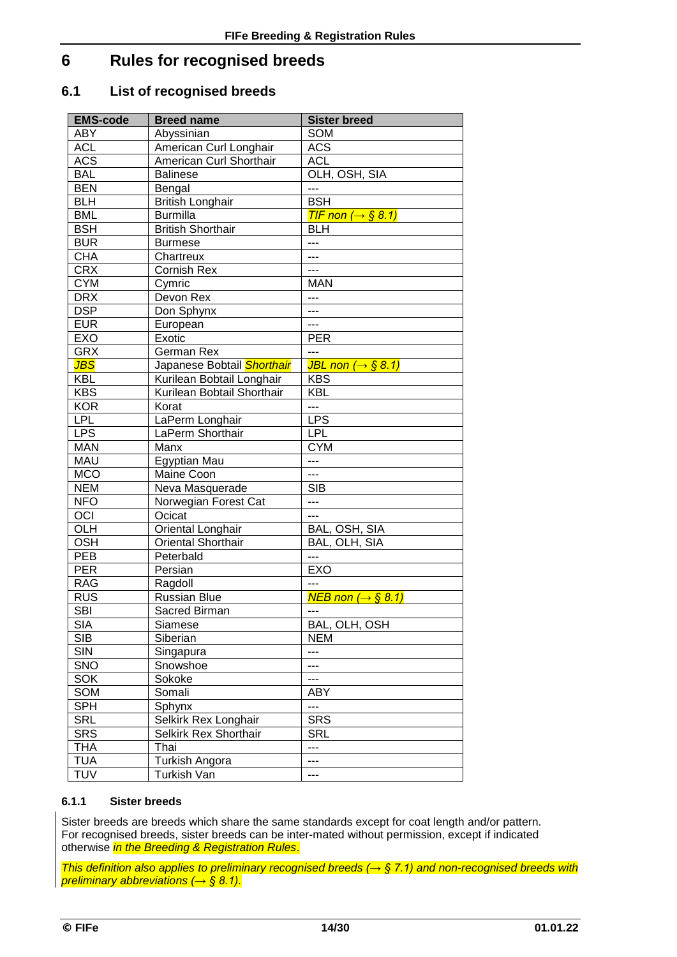# **6 Rules for recognised breeds**

### **6.1 List of recognised breeds**

| <b>EMS-code</b> | <b>Breed name</b>                 | <b>Sister breed</b>            |
|-----------------|-----------------------------------|--------------------------------|
| <b>ABY</b>      | Abyssinian                        | SOM                            |
| <b>ACL</b>      | American Curl Longhair            | <b>ACS</b>                     |
| <b>ACS</b>      | American Curl Shorthair           | <b>ACL</b>                     |
| <b>BAL</b>      | <b>Balinese</b>                   | OLH, OSH, SIA                  |
| <b>BEN</b>      | Bengal                            | $\overline{a}$                 |
| <b>BLH</b>      | <b>British Longhair</b>           | <b>BSH</b>                     |
| <b>BML</b>      | <b>Burmilla</b>                   | TIF non ( $\rightarrow$ § 8.1) |
| <b>BSH</b>      | <b>British Shorthair</b>          | <b>BLH</b>                     |
| <b>BUR</b>      | <b>Burmese</b>                    | ---                            |
| <b>CHA</b>      | Chartreux                         | $---$                          |
| <b>CRX</b>      | <b>Cornish Rex</b>                | $ -$                           |
| <b>CYM</b>      | Cymric                            | <b>MAN</b>                     |
| <b>DRX</b>      | Devon Rex                         | $---$                          |
| <b>DSP</b>      | Don Sphynx                        | $---$                          |
| <b>EUR</b>      | European                          | $---$                          |
| EXO             | Exotic                            | <b>PER</b>                     |
| <b>GRX</b>      | German Rex                        | $\overline{a}$                 |
| JBS             | Japanese Bobtail <b>Shorthair</b> | JBL non ( $\rightarrow$ § 8.1) |
| <b>KBL</b>      | Kurilean Bobtail Longhair         | <b>KBS</b>                     |
| <b>KBS</b>      | Kurilean Bobtail Shorthair        | <b>KBL</b>                     |
| <b>KOR</b>      | Korat                             | $\overline{a}$                 |
| <b>LPL</b>      | LaPerm Longhair                   | <b>LPS</b>                     |
| <b>LPS</b>      | LaPerm Shorthair                  | <b>LPL</b>                     |
| <b>MAN</b>      | Manx                              | <b>CYM</b>                     |
| <b>MAU</b>      | Egyptian Mau                      | ---                            |
| <b>MCO</b>      | Maine Coon                        | $\scriptstyle\cdots$ .         |
| <b>NEM</b>      | Neva Masquerade                   | <b>SIB</b>                     |
| <b>NFO</b>      | Norwegian Forest Cat              | ---                            |
| OCI             | Ocicat                            | $\sim$ $\sim$                  |
| OLH             | Oriental Longhair                 | BAL, OSH, SIA                  |
| <b>OSH</b>      | <b>Oriental Shorthair</b>         | BAL, OLH, SIA                  |
| PEB             | Peterbald                         | $\sim$ $\sim$ $\sim$           |
| <b>PER</b>      | Persian                           | EXO                            |
| <b>RAG</b>      | Ragdoll                           | $\overline{a}$                 |
| <b>RUS</b>      | <b>Russian Blue</b>               | NEB non ( $\rightarrow$ § 8.1) |
| <b>SBI</b>      | Sacred Birman                     | $\frac{1}{2}$                  |
| <b>SIA</b>      | Siamese                           | BAL, OLH, OSH                  |
| <b>SIB</b>      | Siberian                          | <b>NEM</b>                     |
| <b>SIN</b>      | Singapura                         | $---$                          |
| <b>SNO</b>      | Snowshoe                          | $---$                          |
| <b>SOK</b>      | Sokoke                            | $---$                          |
| SOM             | Somali                            | ABY                            |
| <b>SPH</b>      | Sphynx                            | $---$                          |
| <b>SRL</b>      | Selkirk Rex Longhair              | <b>SRS</b>                     |
| <b>SRS</b>      | Selkirk Rex Shorthair             | <b>SRL</b>                     |
| <b>THA</b>      | Thai                              | $\overline{a}$                 |
| <b>TUA</b>      | Turkish Angora                    | $---$                          |
| <b>TUV</b>      | Turkish Van                       | $\qquad \qquad -$              |

#### **6.1.1 Sister breeds**

Sister breeds are breeds which share the same standards except for coat length and/or pattern. For recognised breeds, sister breeds can be inter-mated without permission, except if indicated otherwise *in the Breeding & Registration Rules*.

*This definition also applies to preliminary recognised breeds (→ § 7.1) and non-recognised breeds with preliminary abbreviations (→ § 8.1).*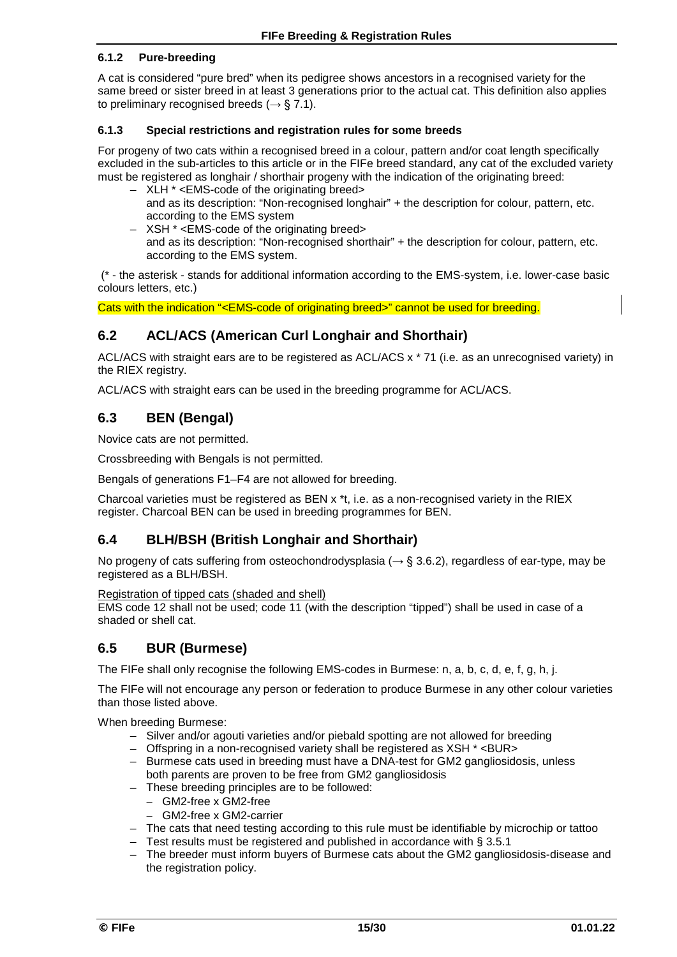### **6.1.2 Pure-breeding**

A cat is considered "pure bred" when its pedigree shows ancestors in a recognised variety for the same breed or sister breed in at least 3 generations prior to the actual cat. This definition also applies to preliminary recognised breeds ( $\rightarrow$  § 7.1).

#### **6.1.3 Special restrictions and registration rules for some breeds**

For progeny of two cats within a recognised breed in a colour, pattern and/or coat length specifically excluded in the sub-articles to this article or in the FIFe breed standard, any cat of the excluded variety must be registered as longhair / shorthair progeny with the indication of the originating breed:

- XLH \* <EMS-code of the originating breed> and as its description: "Non-recognised longhair" + the description for colour, pattern, etc. according to the EMS system
- XSH \* <EMS-code of the originating breed> and as its description: "Non-recognised shorthair" + the description for colour, pattern, etc. according to the EMS system.

(\* - the asterisk - stands for additional information according to the EMS-system, i.e. lower-case basic colours letters, etc.)

Cats with the indication "<EMS-code of originating breed>" cannot be used for breeding.

### **6.2 ACL/ACS (American Curl Longhair and Shorthair)**

ACL/ACS with straight ears are to be registered as ACL/ACS x \* 71 (i.e. as an unrecognised variety) in the RIEX registry.

ACL/ACS with straight ears can be used in the breeding programme for ACL/ACS.

### **6.3 BEN (Bengal)**

Novice cats are not permitted.

Crossbreeding with Bengals is not permitted.

Bengals of generations F1–F4 are not allowed for breeding.

Charcoal varieties must be registered as BEN x \*t, i.e. as a non-recognised variety in the RIEX register. Charcoal BEN can be used in breeding programmes for BEN.

### **6.4 BLH/BSH (British Longhair and Shorthair)**

No progeny of cats suffering from osteochondrodysplasia ( $\rightarrow$  § 3.6.2), regardless of ear-type, may be registered as a BLH/BSH.

#### Registration of tipped cats (shaded and shell)

EMS code 12 shall not be used; code 11 (with the description "tipped") shall be used in case of a shaded or shell cat.

### **6.5 BUR (Burmese)**

The FIFe shall only recognise the following EMS-codes in Burmese: n, a, b, c, d, e, f, g, h, i,

The FIFe will not encourage any person or federation to produce Burmese in any other colour varieties than those listed above.

When breeding Burmese:

- Silver and/or agouti varieties and/or piebald spotting are not allowed for breeding
- Offspring in a non-recognised variety shall be registered as XSH \* <BUR>
- Burmese cats used in breeding must have a DNA-test for GM2 gangliosidosis, unless both parents are proven to be free from GM2 gangliosidosis
- These breeding principles are to be followed:
	- − GM2-free x GM2-free
	- − GM2-free x GM2-carrier
- The cats that need testing according to this rule must be identifiable by microchip or tattoo
- Test results must be registered and published in accordance with § 3.5.1
- The breeder must inform buyers of Burmese cats about the GM2 gangliosidosis-disease and the registration policy.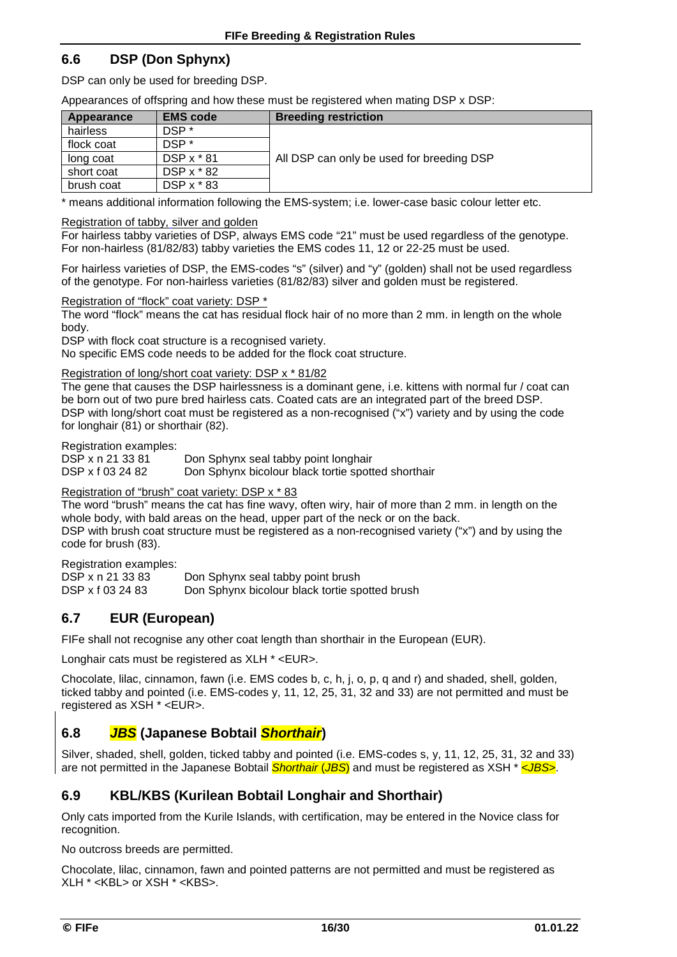### **6.6 DSP (Don Sphynx)**

DSP can only be used for breeding DSP.

Appearances of offspring and how these must be registered when mating DSP x DSP:

| Appearance | <b>EMS code</b>  | <b>Breeding restriction</b>               |
|------------|------------------|-------------------------------------------|
| hairless   | DSP <sup>*</sup> |                                           |
| flock coat | DSP <sup>*</sup> |                                           |
| long coat  | DSP $x * 81$     | All DSP can only be used for breeding DSP |
| short coat | DSP x * 82       |                                           |
| brush coat | DSP x * 83       |                                           |

\* means additional information following the EMS-system; i.e. lower-case basic colour letter etc.

Registration of tabby, silver and golden

For hairless tabby varieties of DSP, always EMS code "21" must be used regardless of the genotype. For non-hairless (81/82/83) tabby varieties the EMS codes 11, 12 or 22-25 must be used.

For hairless varieties of DSP, the EMS-codes "s" (silver) and "y" (golden) shall not be used regardless of the genotype. For non-hairless varieties (81/82/83) silver and golden must be registered.

Registration of "flock" coat variety: DSP \*

The word "flock" means the cat has residual flock hair of no more than 2 mm. in length on the whole body.

DSP with flock coat structure is a recognised variety.

No specific EMS code needs to be added for the flock coat structure.

Registration of long/short coat variety: DSP x \* 81/82

The gene that causes the DSP hairlessness is a dominant gene, i.e. kittens with normal fur / coat can be born out of two pure bred hairless cats. Coated cats are an integrated part of the breed DSP. DSP with long/short coat must be registered as a non-recognised ("x") variety and by using the code for longhair (81) or shorthair (82).

Registration examples:

| DSP x n 21 33 81 | Don Sphynx seal tabby point longhair               |
|------------------|----------------------------------------------------|
| DSP x f 03 24 82 | Don Sphynx bicolour black tortie spotted shorthair |

#### Registration of "brush" coat variety: DSP x \* 83

The word "brush" means the cat has fine wavy, often wiry, hair of more than 2 mm. in length on the whole body, with bald areas on the head, upper part of the neck or on the back.

DSP with brush coat structure must be registered as a non-recognised variety ("x") and by using the code for brush (83).

Registration examples:

| DSP x n 21 33 83 | Don Sphynx seal tabby point brush              |
|------------------|------------------------------------------------|
| DSP x f 03 24 83 | Don Sphynx bicolour black tortie spotted brush |

### **6.7 EUR (European)**

FIFe shall not recognise any other coat length than shorthair in the European (EUR).

Longhair cats must be registered as XLH \* <EUR>.

Chocolate, lilac, cinnamon, fawn (i.e. EMS codes b, c, h, j, o, p, q and r) and shaded, shell, golden, ticked tabby and pointed (i.e. EMS-codes y, 11, 12, 25, 31, 32 and 33) are not permitted and must be registered as XSH \* <EUR>.

### **6.8** *JBS* **(Japanese Bobtail** *Shorthair***)**

Silver, shaded, shell, golden, ticked tabby and pointed (i.e. EMS-codes s, y, 11, 12, 25, 31, 32 and 33) are not permitted in the Japanese Bobtail *Shorthair* (*JBS*) and must be registered as XSH \* <*JBS*>.

### **6.9 KBL/KBS (Kurilean Bobtail Longhair and Shorthair)**

Only cats imported from the Kurile Islands, with certification, may be entered in the Novice class for recognition.

No outcross breeds are permitted.

Chocolate, lilac, cinnamon, fawn and pointed patterns are not permitted and must be registered as XLH \* <KBL> or XSH \* <KBS>.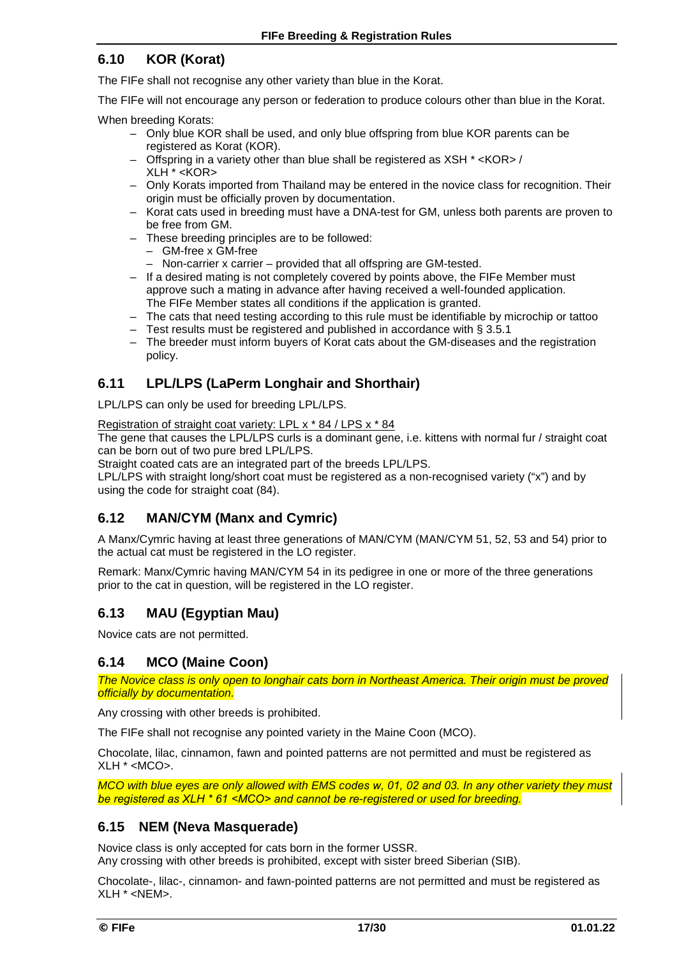### **6.10 KOR (Korat)**

The FIFe shall not recognise any other variety than blue in the Korat.

The FIFe will not encourage any person or federation to produce colours other than blue in the Korat.

When breeding Korats:

- Only blue KOR shall be used, and only blue offspring from blue KOR parents can be registered as Korat (KOR).
- Offspring in a variety other than blue shall be registered as XSH \* <KOR> / XLH \* <KOR>
- Only Korats imported from Thailand may be entered in the novice class for recognition. Their origin must be officially proven by documentation.
- Korat cats used in breeding must have a DNA-test for GM, unless both parents are proven to be free from GM.
- These breeding principles are to be followed:
	- GM-free x GM-free
	- Non-carrier x carrier provided that all offspring are GM-tested.
- If a desired mating is not completely covered by points above, the FIFe Member must approve such a mating in advance after having received a well-founded application. The FIFe Member states all conditions if the application is granted.
- The cats that need testing according to this rule must be identifiable by microchip or tattoo
- Test results must be registered and published in accordance with § 3.5.1
- The breeder must inform buyers of Korat cats about the GM-diseases and the registration policy.

### **6.11 LPL/LPS (LaPerm Longhair and Shorthair)**

LPL/LPS can only be used for breeding LPL/LPS.

Registration of straight coat variety: LPL x \* 84 / LPS x \* 84

The gene that causes the LPL/LPS curls is a dominant gene, i.e. kittens with normal fur / straight coat can be born out of two pure bred LPL/LPS.

Straight coated cats are an integrated part of the breeds LPL/LPS.

LPL/LPS with straight long/short coat must be registered as a non-recognised variety ("x") and by using the code for straight coat (84).

### **6.12 MAN/CYM (Manx and Cymric)**

A Manx/Cymric having at least three generations of MAN/CYM (MAN/CYM 51, 52, 53 and 54) prior to the actual cat must be registered in the LO register.

Remark: Manx/Cymric having MAN/CYM 54 in its pedigree in one or more of the three generations prior to the cat in question, will be registered in the LO register.

### **6.13 MAU (Egyptian Mau)**

Novice cats are not permitted.

### **6.14 MCO (Maine Coon)**

*The Novice class is only open to longhair cats born in Northeast America. Their origin must be proved officially by documentation.* 

Any crossing with other breeds is prohibited.

The FIFe shall not recognise any pointed variety in the Maine Coon (MCO).

Chocolate, lilac, cinnamon, fawn and pointed patterns are not permitted and must be registered as XLH \* <MCO>.

*MCO with blue eyes are only allowed with EMS codes w, 01, 02 and 03. In any other variety they must be registered as XLH \* 61 <MCO> and cannot be re-registered or used for breeding.* 

### **6.15 NEM (Neva Masquerade)**

Novice class is only accepted for cats born in the former USSR.

Any crossing with other breeds is prohibited, except with sister breed Siberian (SIB).

Chocolate-, lilac-, cinnamon- and fawn-pointed patterns are not permitted and must be registered as XLH \* <NEM>.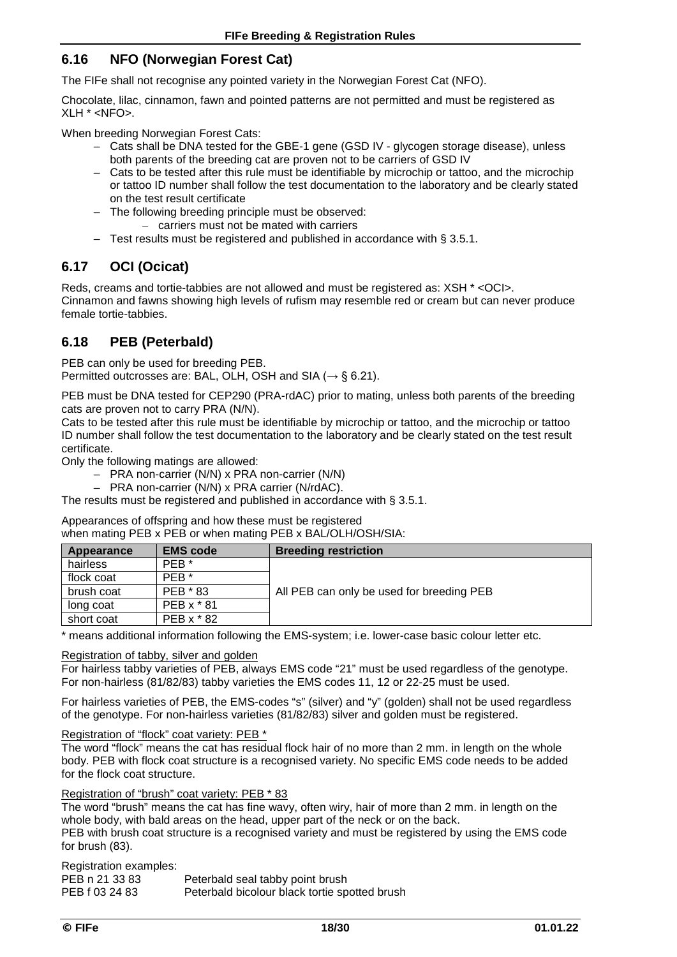### **6.16 NFO (Norwegian Forest Cat)**

The FIFe shall not recognise any pointed variety in the Norwegian Forest Cat (NFO).

Chocolate, lilac, cinnamon, fawn and pointed patterns are not permitted and must be registered as XLH \* <NFO>.

When breeding Norwegian Forest Cats:

- Cats shall be DNA tested for the GBE-1 gene (GSD IV glycogen storage disease), unless both parents of the breeding cat are proven not to be carriers of GSD IV
- Cats to be tested after this rule must be identifiable by microchip or tattoo, and the microchip or tattoo ID number shall follow the test documentation to the laboratory and be clearly stated on the test result certificate
- The following breeding principle must be observed:
	- − carriers must not be mated with carriers
- Test results must be registered and published in accordance with § 3.5.1.

### **6.17 OCI (Ocicat)**

Reds, creams and tortie-tabbies are not allowed and must be registered as: XSH \* <OCI>. Cinnamon and fawns showing high levels of rufism may resemble red or cream but can never produce female tortie-tabbies.

### **6.18 PEB (Peterbald)**

PEB can only be used for breeding PEB.

Permitted outcrosses are: BAL, OLH, OSH and SIA ( $\rightarrow$  § 6.21).

PEB must be DNA tested for CEP290 (PRA-rdAC) prior to mating, unless both parents of the breeding cats are proven not to carry PRA (N/N).

Cats to be tested after this rule must be identifiable by microchip or tattoo, and the microchip or tattoo ID number shall follow the test documentation to the laboratory and be clearly stated on the test result certificate.

Only the following matings are allowed:

– PRA non-carrier (N/N) x PRA non-carrier (N/N)

– PRA non-carrier (N/N) x PRA carrier (N/rdAC).

The results must be registered and published in accordance with § 3.5.1.

Appearances of offspring and how these must be registered when mating PEB x PEB or when mating PEB x BAL/OLH/OSH/SIA:

| Appearance | <b>EMS</b> code  | <b>Breeding restriction</b>               |
|------------|------------------|-------------------------------------------|
| hairless   | PEB <sup>*</sup> |                                           |
| flock coat | PFR <sup>*</sup> |                                           |
| brush coat | PEB * 83         | All PEB can only be used for breeding PEB |
| long coat  | PEB x * 81       |                                           |
| short coat | PEB x * 82       |                                           |

\* means additional information following the EMS-system; i.e. lower-case basic colour letter etc.

Registration of tabby, silver and golden

For hairless tabby varieties of PEB, always EMS code "21" must be used regardless of the genotype. For non-hairless (81/82/83) tabby varieties the EMS codes 11, 12 or 22-25 must be used.

For hairless varieties of PEB, the EMS-codes "s" (silver) and "y" (golden) shall not be used regardless of the genotype. For non-hairless varieties (81/82/83) silver and golden must be registered.

Registration of "flock" coat variety: PEB \*

The word "flock" means the cat has residual flock hair of no more than 2 mm. in length on the whole body. PEB with flock coat structure is a recognised variety. No specific EMS code needs to be added for the flock coat structure.

Registration of "brush" coat variety: PEB \* 83

The word "brush" means the cat has fine wavy, often wiry, hair of more than 2 mm. in length on the whole body, with bald areas on the head, upper part of the neck or on the back. PEB with brush coat structure is a recognised variety and must be registered by using the EMS code for brush (83).

Registration examples:<br>PEB n 21 33 83 PEB n 21 33 83 Peterbald seal tabby point brush<br>PEB f 03 24 83 Peterbald bicolour black tortie sp Peterbald bicolour black tortie spotted brush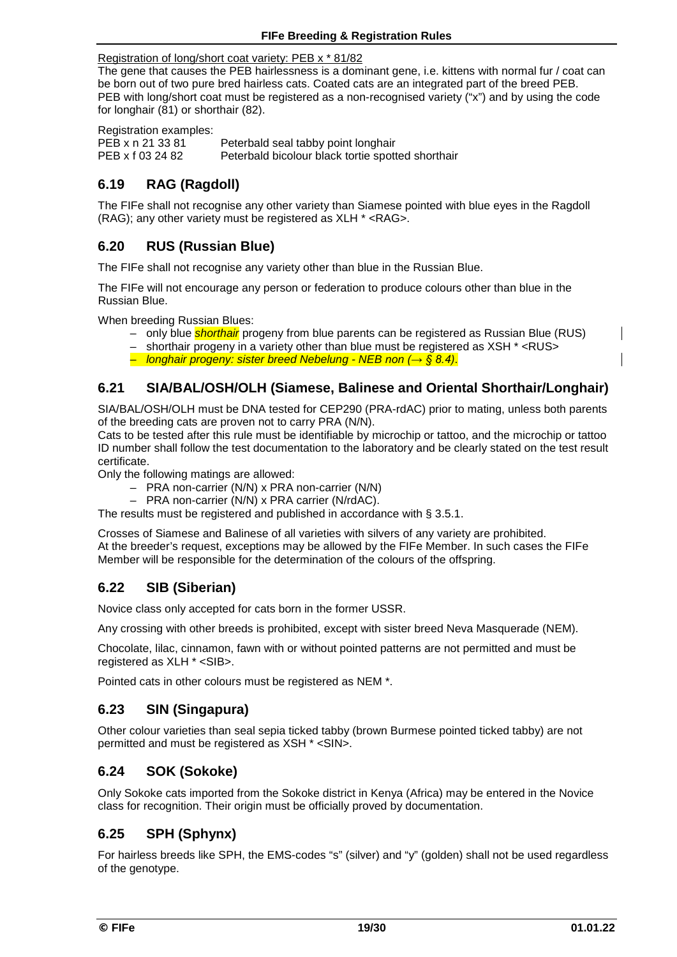#### Registration of long/short coat variety: PEB x \* 81/82

The gene that causes the PEB hairlessness is a dominant gene, i.e. kittens with normal fur / coat can be born out of two pure bred hairless cats. Coated cats are an integrated part of the breed PEB. PEB with long/short coat must be registered as a non-recognised variety ("x") and by using the code for longhair (81) or shorthair (82).

Registration examples:<br>PEB x n 21 33 81 PEB x n 21 33 81 Peterbald seal tabby point longhair<br>PEB x f 03 24 82 Peterbald bicolour black tortie spott Peterbald bicolour black tortie spotted shorthair

### **6.19 RAG (Ragdoll)**

The FIFe shall not recognise any other variety than Siamese pointed with blue eyes in the Ragdoll (RAG); any other variety must be registered as XLH \* <RAG>.

### **6.20 RUS (Russian Blue)**

The FIFe shall not recognise any variety other than blue in the Russian Blue.

The FIFe will not encourage any person or federation to produce colours other than blue in the Russian Blue.

When breeding Russian Blues:

- only blue *shorthair* progeny from blue parents can be registered as Russian Blue (RUS)
- shorthair progeny in a variety other than blue must be registered as XSH \* <RUS>
- *longhair progeny: sister breed Nebelung NEB non (→ § 8.4)*.

### **6.21 SIA/BAL/OSH/OLH (Siamese, Balinese and Oriental Shorthair/Longhair)**

SIA/BAL/OSH/OLH must be DNA tested for CEP290 (PRA-rdAC) prior to mating, unless both parents of the breeding cats are proven not to carry PRA (N/N).

Cats to be tested after this rule must be identifiable by microchip or tattoo, and the microchip or tattoo ID number shall follow the test documentation to the laboratory and be clearly stated on the test result certificate.

Only the following matings are allowed:

- PRA non-carrier (N/N) x PRA non-carrier (N/N)
- PRA non-carrier (N/N) x PRA carrier (N/rdAC).

The results must be registered and published in accordance with § 3.5.1.

Crosses of Siamese and Balinese of all varieties with silvers of any variety are prohibited. At the breeder's request, exceptions may be allowed by the FIFe Member. In such cases the FIFe Member will be responsible for the determination of the colours of the offspring.

### **6.22 SIB (Siberian)**

Novice class only accepted for cats born in the former USSR.

Any crossing with other breeds is prohibited, except with sister breed Neva Masquerade (NEM).

Chocolate, lilac, cinnamon, fawn with or without pointed patterns are not permitted and must be registered as XLH \* <SIB>.

Pointed cats in other colours must be registered as NEM \*.

### **6.23 SIN (Singapura)**

Other colour varieties than seal sepia ticked tabby (brown Burmese pointed ticked tabby) are not permitted and must be registered as XSH \* <SIN>.

### **6.24 SOK (Sokoke)**

Only Sokoke cats imported from the Sokoke district in Kenya (Africa) may be entered in the Novice class for recognition. Their origin must be officially proved by documentation.

### **6.25 SPH (Sphynx)**

For hairless breeds like SPH, the EMS-codes "s" (silver) and "y" (golden) shall not be used regardless of the genotype.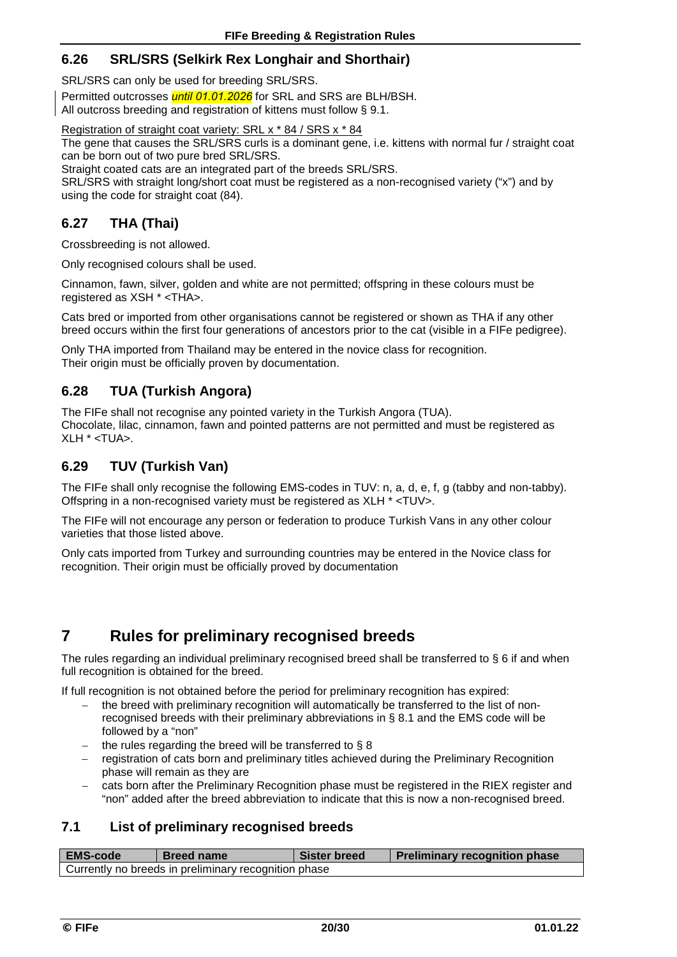### **6.26 SRL/SRS (Selkirk Rex Longhair and Shorthair)**

SRL/SRS can only be used for breeding SRL/SRS.

Permitted outcrosses *until 01.01.2026* for SRL and SRS are BLH/BSH. All outcross breeding and registration of kittens must follow § 9.1.

Registration of straight coat variety: SRL x \* 84 / SRS x \* 84

The gene that causes the SRL/SRS curls is a dominant gene, i.e. kittens with normal fur / straight coat can be born out of two pure bred SRL/SRS.

Straight coated cats are an integrated part of the breeds SRL/SRS.

SRL/SRS with straight long/short coat must be registered as a non-recognised variety ("x") and by using the code for straight coat (84).

### **6.27 THA (Thai)**

Crossbreeding is not allowed.

Only recognised colours shall be used.

Cinnamon, fawn, silver, golden and white are not permitted; offspring in these colours must be registered as XSH \* <THA>.

Cats bred or imported from other organisations cannot be registered or shown as THA if any other breed occurs within the first four generations of ancestors prior to the cat (visible in a FIFe pedigree).

Only THA imported from Thailand may be entered in the novice class for recognition. Their origin must be officially proven by documentation.

### **6.28 TUA (Turkish Angora)**

The FIFe shall not recognise any pointed variety in the Turkish Angora (TUA). Chocolate, lilac, cinnamon, fawn and pointed patterns are not permitted and must be registered as XLH \* <TUA>.

### **6.29 TUV (Turkish Van)**

The FIFe shall only recognise the following EMS-codes in TUV: n, a, d, e, f, g (tabby and non-tabby). Offspring in a non-recognised variety must be registered as XLH \* <TUV>.

The FIFe will not encourage any person or federation to produce Turkish Vans in any other colour varieties that those listed above.

Only cats imported from Turkey and surrounding countries may be entered in the Novice class for recognition. Their origin must be officially proved by documentation

# **7 Rules for preliminary recognised breeds**

The rules regarding an individual preliminary recognised breed shall be transferred to § 6 if and when full recognition is obtained for the breed.

If full recognition is not obtained before the period for preliminary recognition has expired:

- − the breed with preliminary recognition will automatically be transferred to the list of nonrecognised breeds with their preliminary abbreviations in § 8.1 and the EMS code will be followed by a "non"
- the rules regarding the breed will be transferred to § 8
- − registration of cats born and preliminary titles achieved during the Preliminary Recognition phase will remain as they are
- cats born after the Preliminary Recognition phase must be registered in the RIEX register and "non" added after the breed abbreviation to indicate that this is now a non-recognised breed.

### **7.1 List of preliminary recognised breeds**

| EMS-code                                             | <b>Breed name</b> | <b>Sister breed</b> | <b>Preliminary recognition phase</b> |
|------------------------------------------------------|-------------------|---------------------|--------------------------------------|
| Currently no breeds in preliminary recognition phase |                   |                     |                                      |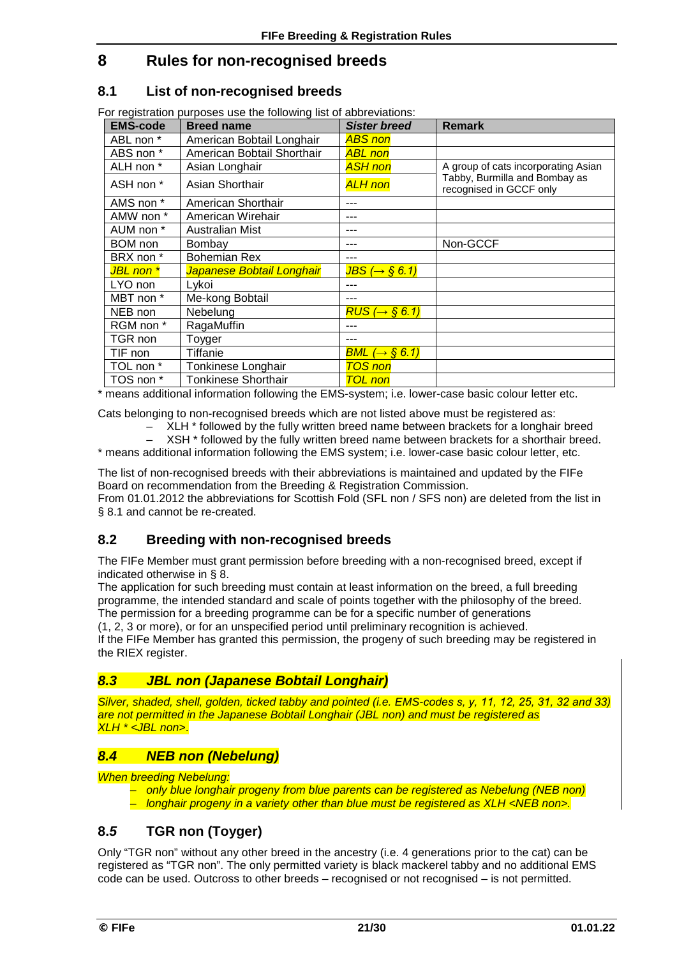# **8 Rules for non-recognised breeds**

### **8.1 List of non-recognised breeds**

| <b>EMS-code</b> | <b>Breed name</b>          | <b>Sister breed</b>        | <b>Remark</b>                                            |
|-----------------|----------------------------|----------------------------|----------------------------------------------------------|
| ABL non *       | American Bobtail Longhair  | <b>ABS</b> non             |                                                          |
| ABS non *       | American Bobtail Shorthair | <b>ABL</b> non             |                                                          |
| ALH non *       | Asian Longhair             | <b>ASH</b> non             | A group of cats incorporating Asian                      |
| ASH non *       | Asian Shorthair            | <b>ALH</b> non             | Tabby, Burmilla and Bombay as<br>recognised in GCCF only |
| AMS non *       | American Shorthair         | ---                        |                                                          |
| AMW non *       | American Wirehair          | ---                        |                                                          |
| AUM non *       | Australian Mist            | ---                        |                                                          |
| BOM non         | Bombay                     | ---                        | Non-GCCF                                                 |
| BRX non *       | <b>Bohemian Rex</b>        | ---                        |                                                          |
| JBL non *       | Japanese Bobtail Longhair  | $JBS \rightarrow \$ 6.1    |                                                          |
| LYO non         | Lykoi                      | ---                        |                                                          |
| MBT non *       | Me-kong Bobtail            | ---                        |                                                          |
| NEB non         | Nebelung                   | $RUS \rightarrow \S 6.1$   |                                                          |
| RGM non *       | RagaMuffin                 | ---                        |                                                          |
| TGR non         | Toyger                     | ---                        |                                                          |
| TIF non         | Tiffanie                   | $BML (\rightarrow \S 6.1)$ |                                                          |
| TOL non *       | <b>Tonkinese Longhair</b>  | <b>TOS</b> non             |                                                          |
| TOS non *       | Tonkinese Shorthair        | <b>TOL</b> non             |                                                          |

For registration purposes use the following list of abbreviations:

\* means additional information following the EMS-system; i.e. lower-case basic colour letter etc.

Cats belonging to non-recognised breeds which are not listed above must be registered as:

XLH \* followed by the fully written breed name between brackets for a longhair breed

XSH \* followed by the fully written breed name between brackets for a shorthair breed. \* means additional information following the EMS system; i.e. lower-case basic colour letter, etc.

The list of non-recognised breeds with their abbreviations is maintained and updated by the FIFe Board on recommendation from the Breeding & Registration Commission.

From 01.01.2012 the abbreviations for Scottish Fold (SFL non / SFS non) are deleted from the list in § 8.1 and cannot be re-created.

### **8.2 Breeding with non-recognised breeds**

The FIFe Member must grant permission before breeding with a non-recognised breed, except if indicated otherwise in § 8.

The application for such breeding must contain at least information on the breed, a full breeding programme, the intended standard and scale of points together with the philosophy of the breed. The permission for a breeding programme can be for a specific number of generations

(1, 2, 3 or more), or for an unspecified period until preliminary recognition is achieved. If the FIFe Member has granted this permission, the progeny of such breeding may be registered in the RIEX register.

### *8.3 JBL non (Japanese Bobtail Longhair)*

*Silver, shaded, shell, golden, ticked tabby and pointed (i.e. EMS-codes s, y, 11, 12, 25, 31, 32 and 33) are not permitted in the Japanese Bobtail Longhair (JBL non) and must be registered as XLH \* <JBL non*>.

### *8.4 NEB non (Nebelung)*

*When breeding Nebelung:*

– *only blue longhair progeny from blue parents can be registered as Nebelung (NEB non)* – *longhair progeny in a variety other than blue must be registered as XLH <NEB non>.*

### **8.***5* **TGR non (Toyger)**

Only "TGR non" without any other breed in the ancestry (i.e. 4 generations prior to the cat) can be registered as "TGR non". The only permitted variety is black mackerel tabby and no additional EMS code can be used. Outcross to other breeds – recognised or not recognised – is not permitted.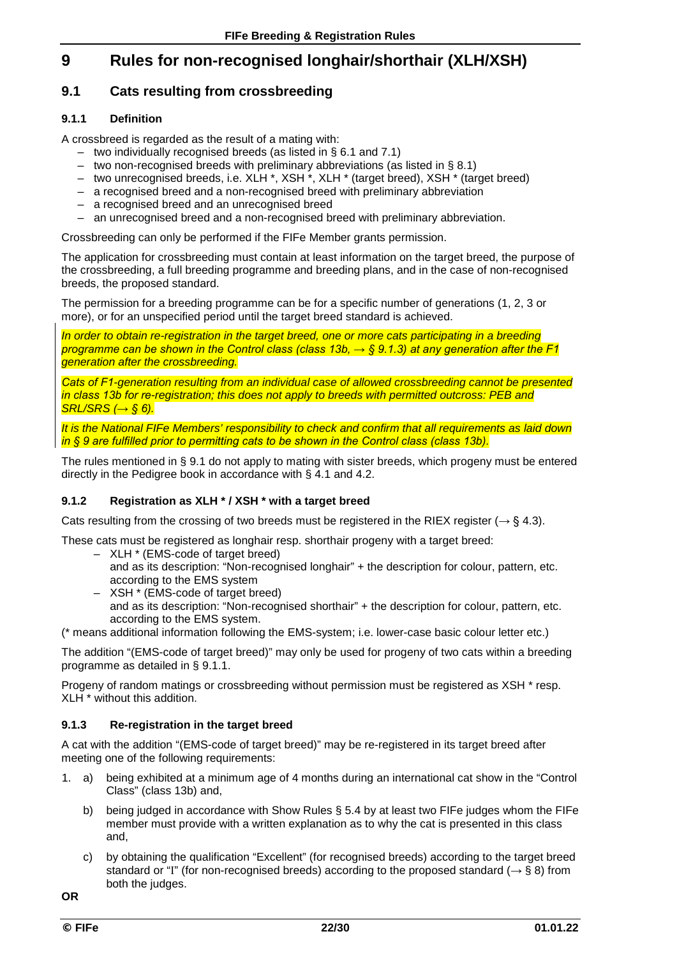# **9 Rules for non-recognised longhair/shorthair (XLH/XSH)**

### **9.1 Cats resulting from crossbreeding**

#### **9.1.1 Definition**

A crossbreed is regarded as the result of a mating with:

- two individually recognised breeds (as listed in § 6.1 and 7.1)
- two non-recognised breeds with preliminary abbreviations (as listed in § 8.1)
- two unrecognised breeds, i.e. XLH \*, XSH \*, XLH \* (target breed), XSH \* (target breed)
- a recognised breed and a non-recognised breed with preliminary abbreviation
- a recognised breed and an unrecognised breed
- an unrecognised breed and a non-recognised breed with preliminary abbreviation.

Crossbreeding can only be performed if the FIFe Member grants permission.

The application for crossbreeding must contain at least information on the target breed, the purpose of the crossbreeding, a full breeding programme and breeding plans, and in the case of non-recognised breeds, the proposed standard.

The permission for a breeding programme can be for a specific number of generations (1, 2, 3 or more), or for an unspecified period until the target breed standard is achieved.

*In order to obtain re-registration in the target breed, one or more cats participating in a breeding programme can be shown in the Control class (class 13b, → § 9.1.3) at any generation after the F1 generation after the crossbreeding.* 

*Cats of F1-generation resulting from an individual case of allowed crossbreeding cannot be presented in class 13b for re-registration; this does not apply to breeds with permitted outcross: PEB and SRL/SRS (→ § 6).*

*It is the National FIFe Members' responsibility to check and confirm that all requirements as laid down in § 9 are fulfilled prior to permitting cats to be shown in the Control class (class 13b).*

The rules mentioned in § 9.1 do not apply to mating with sister breeds, which progeny must be entered directly in the Pedigree book in accordance with § 4.1 and 4.2.

### **9.1.2 Registration as XLH \* / XSH \* with a target breed**

Cats resulting from the crossing of two breeds must be registered in the RIEX register ( $\rightarrow$  § 4.3).

These cats must be registered as longhair resp. shorthair progeny with a target breed:

- XLH \* (EMS-code of target breed)
	- and as its description: "Non-recognised longhair" + the description for colour, pattern, etc. according to the EMS system
	- XSH \* (EMS-code of target breed) and as its description: "Non-recognised shorthair" + the description for colour, pattern, etc. according to the EMS system.

(\* means additional information following the EMS-system; i.e. lower-case basic colour letter etc.)

The addition "(EMS-code of target breed)" may only be used for progeny of two cats within a breeding programme as detailed in § 9.1.1.

Progeny of random matings or crossbreeding without permission must be registered as XSH \* resp. XLH \* without this addition.

### **9.1.3 Re-registration in the target breed**

A cat with the addition "(EMS-code of target breed)" may be re-registered in its target breed after meeting one of the following requirements:

- 1. a) being exhibited at a minimum age of 4 months during an international cat show in the "Control Class" (class 13b) and,
	- b) being judged in accordance with Show Rules § 5.4 by at least two FIFe judges whom the FIFe member must provide with a written explanation as to why the cat is presented in this class and,
	- c) by obtaining the qualification "Excellent" (for recognised breeds) according to the target breed standard or "I" (for non-recognised breeds) according to the proposed standard ( $\rightarrow$  § 8) from both the judges.

**OR**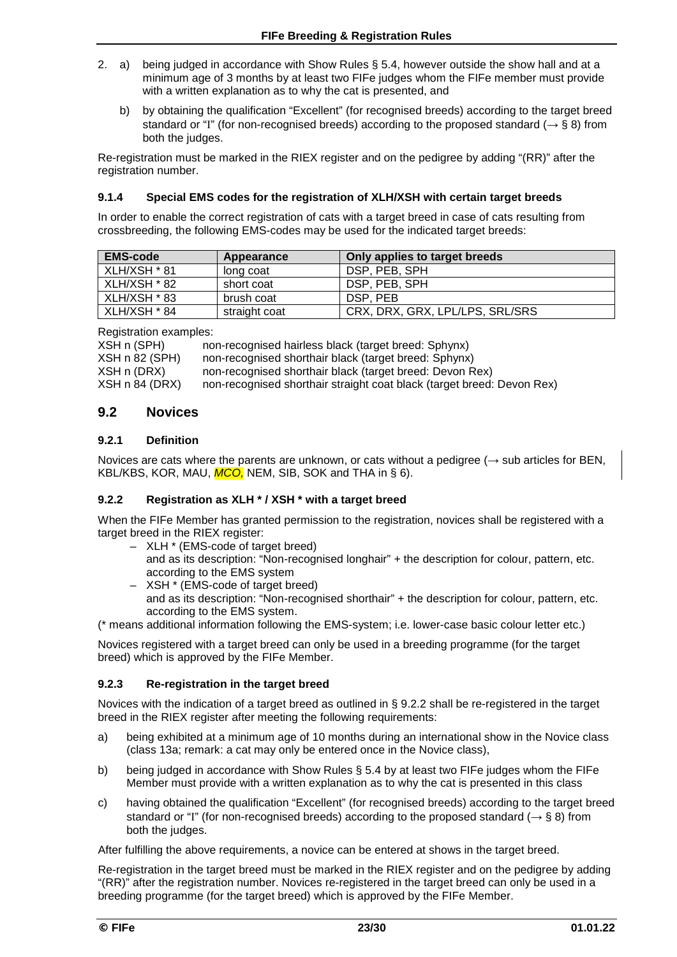- 2. a) being judged in accordance with Show Rules § 5.4, however outside the show hall and at a minimum age of 3 months by at least two FIFe judges whom the FIFe member must provide with a written explanation as to why the cat is presented, and
	- b) by obtaining the qualification "Excellent" (for recognised breeds) according to the target breed standard or "I" (for non-recognised breeds) according to the proposed standard ( $\rightarrow$  § 8) from both the judges.

Re-registration must be marked in the RIEX register and on the pedigree by adding "(RR)" after the registration number.

#### **9.1.4 Special EMS codes for the registration of XLH/XSH with certain target breeds**

In order to enable the correct registration of cats with a target breed in case of cats resulting from crossbreeding, the following EMS-codes may be used for the indicated target breeds:

| <b>EMS-code</b> | Appearance    | Only applies to target breeds   |
|-----------------|---------------|---------------------------------|
| XLH/XSH * 81    | long coat     | DSP, PEB, SPH                   |
| XLH/XSH * 82    | short coat    | DSP. PEB. SPH                   |
| XLH/XSH * 83    | brush coat    | DSP. PEB                        |
| XLH/XSH * 84    | straight coat | CRX, DRX, GRX, LPL/LPS, SRL/SRS |

Registration examples:

| XSH n (SPH)           | non-recognised hairless black (target breed: Sphynx)                   |
|-----------------------|------------------------------------------------------------------------|
| <b>XSH n 82 (SPH)</b> | non-recognised shorthair black (target breed: Sphynx)                  |
| XSH n (DRX)           | non-recognised shorthair black (target breed: Devon Rex)               |
| XSH n 84 (DRX)        | non-recognised shorthair straight coat black (target breed: Devon Rex) |
|                       |                                                                        |

### **9.2 Novices**

#### **9.2.1 Definition**

Novices are cats where the parents are unknown, or cats without a pedigree  $(\rightarrow$  sub articles for BEN, KBL/KBS, KOR, MAU, *MCO,* NEM, SIB, SOK and THA in § 6).

#### **9.2.2 Registration as XLH \* / XSH \* with a target breed**

When the FIFe Member has granted permission to the registration, novices shall be registered with a target breed in the RIEX register:

- XLH \* (EMS-code of target breed) and as its description: "Non-recognised longhair" + the description for colour, pattern, etc. according to the EMS system
- XSH \* (EMS-code of target breed) and as its description: "Non-recognised shorthair" + the description for colour, pattern, etc. according to the EMS system.

(\* means additional information following the EMS-system; i.e. lower-case basic colour letter etc.)

Novices registered with a target breed can only be used in a breeding programme (for the target breed) which is approved by the FIFe Member.

### **9.2.3 Re-registration in the target breed**

Novices with the indication of a target breed as outlined in § 9.2.2 shall be re-registered in the target breed in the RIEX register after meeting the following requirements:

- a) being exhibited at a minimum age of 10 months during an international show in the Novice class (class 13a; remark: a cat may only be entered once in the Novice class),
- b) being judged in accordance with Show Rules § 5.4 by at least two FIFe judges whom the FIFe Member must provide with a written explanation as to why the cat is presented in this class
- c) having obtained the qualification "Excellent" (for recognised breeds) according to the target breed standard or "I" (for non-recognised breeds) according to the proposed standard ( $\rightarrow$  § 8) from both the judges.

After fulfilling the above requirements, a novice can be entered at shows in the target breed.

Re-registration in the target breed must be marked in the RIEX register and on the pedigree by adding "(RR)" after the registration number. Novices re-registered in the target breed can only be used in a breeding programme (for the target breed) which is approved by the FIFe Member.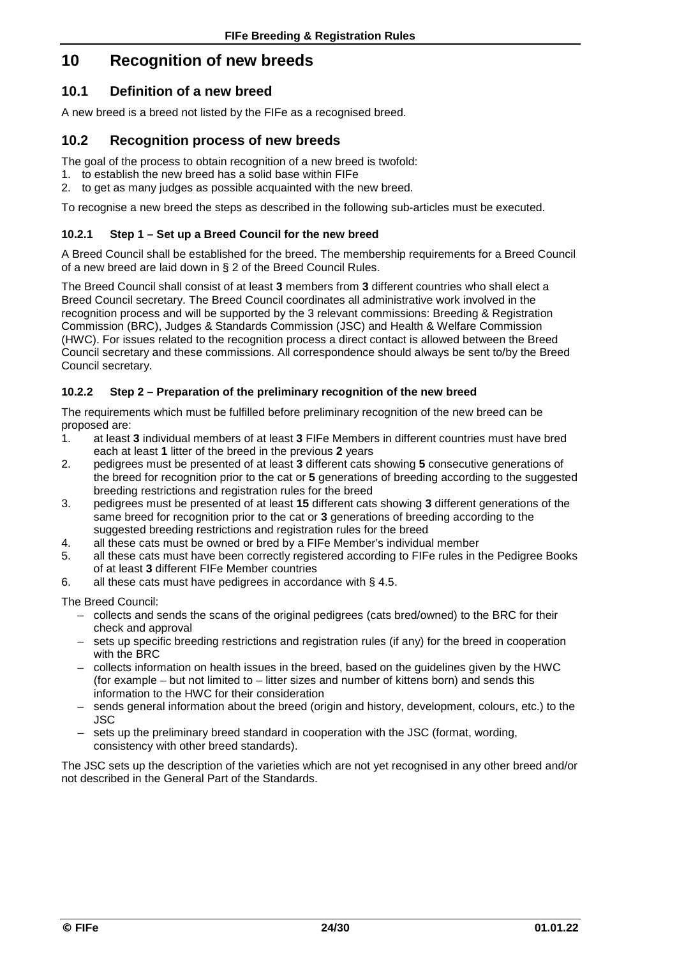# **10 Recognition of new breeds**

### **10.1 Definition of a new breed**

A new breed is a breed not listed by the FIFe as a recognised breed.

### **10.2 Recognition process of new breeds**

The goal of the process to obtain recognition of a new breed is twofold:

- 1. to establish the new breed has a solid base within FIFe
- 2. to get as many judges as possible acquainted with the new breed.

To recognise a new breed the steps as described in the following sub-articles must be executed.

#### **10.2.1 Step 1 – Set up a Breed Council for the new breed**

A Breed Council shall be established for the breed. The membership requirements for a Breed Council of a new breed are laid down in § 2 of the Breed Council Rules.

The Breed Council shall consist of at least **3** members from **3** different countries who shall elect a Breed Council secretary. The Breed Council coordinates all administrative work involved in the recognition process and will be supported by the 3 relevant commissions: Breeding & Registration Commission (BRC), Judges & Standards Commission (JSC) and Health & Welfare Commission (HWC). For issues related to the recognition process a direct contact is allowed between the Breed Council secretary and these commissions. All correspondence should always be sent to/by the Breed Council secretary.

#### **10.2.2 Step 2 – Preparation of the preliminary recognition of the new breed**

The requirements which must be fulfilled before preliminary recognition of the new breed can be proposed are:

- 1. at least **3** individual members of at least **3** FIFe Members in different countries must have bred each at least **1** litter of the breed in the previous **2** years
- 2. pedigrees must be presented of at least **3** different cats showing **5** consecutive generations of the breed for recognition prior to the cat or **5** generations of breeding according to the suggested breeding restrictions and registration rules for the breed
- 3. pedigrees must be presented of at least **15** different cats showing **3** different generations of the same breed for recognition prior to the cat or **3** generations of breeding according to the suggested breeding restrictions and registration rules for the breed
- 4. all these cats must be owned or bred by a FIFe Member's individual member<br>5. all these cats must have been correctly registered according to FIFe rules in t
- all these cats must have been correctly registered according to FIFe rules in the Pedigree Books of at least **3** different FIFe Member countries
- 6. all these cats must have pedigrees in accordance with § 4.5.

The Breed Council:

- collects and sends the scans of the original pedigrees (cats bred/owned) to the BRC for their check and approval
- sets up specific breeding restrictions and registration rules (if any) for the breed in cooperation with the BRC
- collects information on health issues in the breed, based on the guidelines given by the HWC (for example – but not limited to – litter sizes and number of kittens born) and sends this information to the HWC for their consideration
- sends general information about the breed (origin and history, development, colours, etc.) to the JSC
- sets up the preliminary breed standard in cooperation with the JSC (format, wording, consistency with other breed standards).

The JSC sets up the description of the varieties which are not yet recognised in any other breed and/or not described in the General Part of the Standards.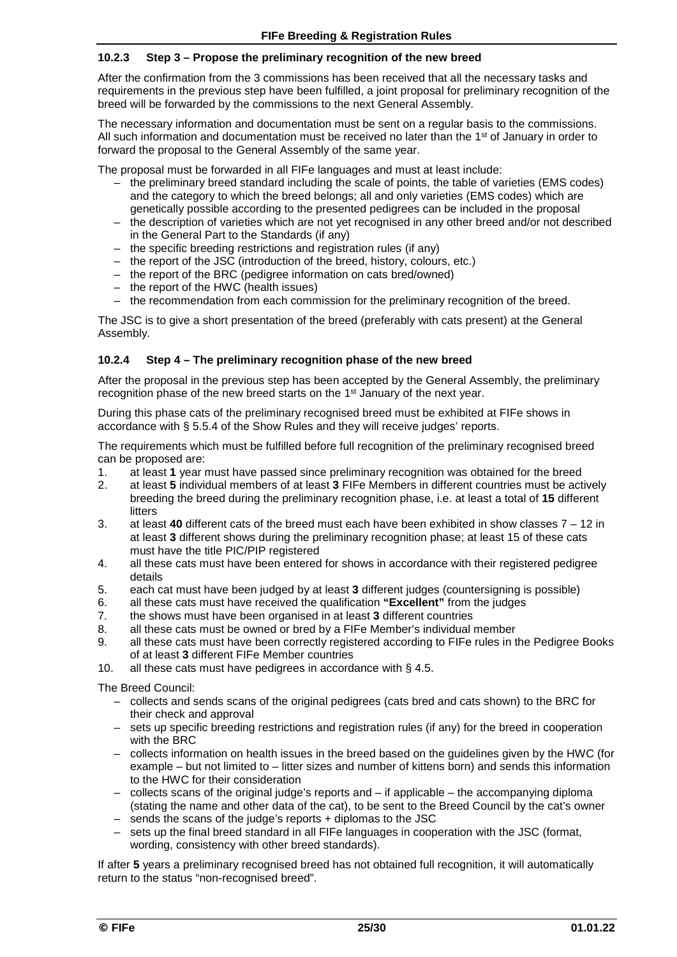#### **10.2.3 Step 3 – Propose the preliminary recognition of the new breed**

After the confirmation from the 3 commissions has been received that all the necessary tasks and requirements in the previous step have been fulfilled, a joint proposal for preliminary recognition of the breed will be forwarded by the commissions to the next General Assembly.

The necessary information and documentation must be sent on a regular basis to the commissions. All such information and documentation must be received no later than the 1<sup>st</sup> of January in order to forward the proposal to the General Assembly of the same year.

The proposal must be forwarded in all FIFe languages and must at least include:

- the preliminary breed standard including the scale of points, the table of varieties (EMS codes) and the category to which the breed belongs; all and only varieties (EMS codes) which are genetically possible according to the presented pedigrees can be included in the proposal
- the description of varieties which are not yet recognised in any other breed and/or not described in the General Part to the Standards (if any)
- the specific breeding restrictions and registration rules (if any)
- the report of the JSC (introduction of the breed, history, colours, etc.)
- the report of the BRC (pedigree information on cats bred/owned)
- the report of the HWC (health issues)
- the recommendation from each commission for the preliminary recognition of the breed.

The JSC is to give a short presentation of the breed (preferably with cats present) at the General Assembly.

#### **10.2.4 Step 4 – The preliminary recognition phase of the new breed**

After the proposal in the previous step has been accepted by the General Assembly, the preliminary recognition phase of the new breed starts on the 1st January of the next year.

During this phase cats of the preliminary recognised breed must be exhibited at FIFe shows in accordance with § 5.5.4 of the Show Rules and they will receive judges' reports.

The requirements which must be fulfilled before full recognition of the preliminary recognised breed can be proposed are:

- 1. at least **1** year must have passed since preliminary recognition was obtained for the breed
- 2. at least **5** individual members of at least **3** FIFe Members in different countries must be actively breeding the breed during the preliminary recognition phase, i.e. at least a total of **15** different litters
- 3. at least **40** different cats of the breed must each have been exhibited in show classes 7 12 in at least **3** different shows during the preliminary recognition phase; at least 15 of these cats must have the title PIC/PIP registered
- 4. all these cats must have been entered for shows in accordance with their registered pedigree details
- 5. each cat must have been judged by at least **3** different judges (countersigning is possible)
- 6. all these cats must have received the qualification **"Excellent"** from the judges
- 7. the shows must have been organised in at least **3** different countries
- 8. all these cats must be owned or bred by a FIFe Member's individual member<br>9. all these cats must have been correctly registered according to FIFe rules in t
- all these cats must have been correctly registered according to FIFe rules in the Pedigree Books of at least **3** different FIFe Member countries
- 10. all these cats must have pedigrees in accordance with § 4.5.

The Breed Council:

- collects and sends scans of the original pedigrees (cats bred and cats shown) to the BRC for their check and approval
- sets up specific breeding restrictions and registration rules (if any) for the breed in cooperation with the BRC
- collects information on health issues in the breed based on the guidelines given by the HWC (for example – but not limited to – litter sizes and number of kittens born) and sends this information to the HWC for their consideration
- collects scans of the original judge's reports and if applicable the accompanying diploma (stating the name and other data of the cat), to be sent to the Breed Council by the cat's owner
- sends the scans of the judge's reports + diplomas to the JSC
- sets up the final breed standard in all FIFe languages in cooperation with the JSC (format, wording, consistency with other breed standards).

If after **5** years a preliminary recognised breed has not obtained full recognition, it will automatically return to the status "non-recognised breed".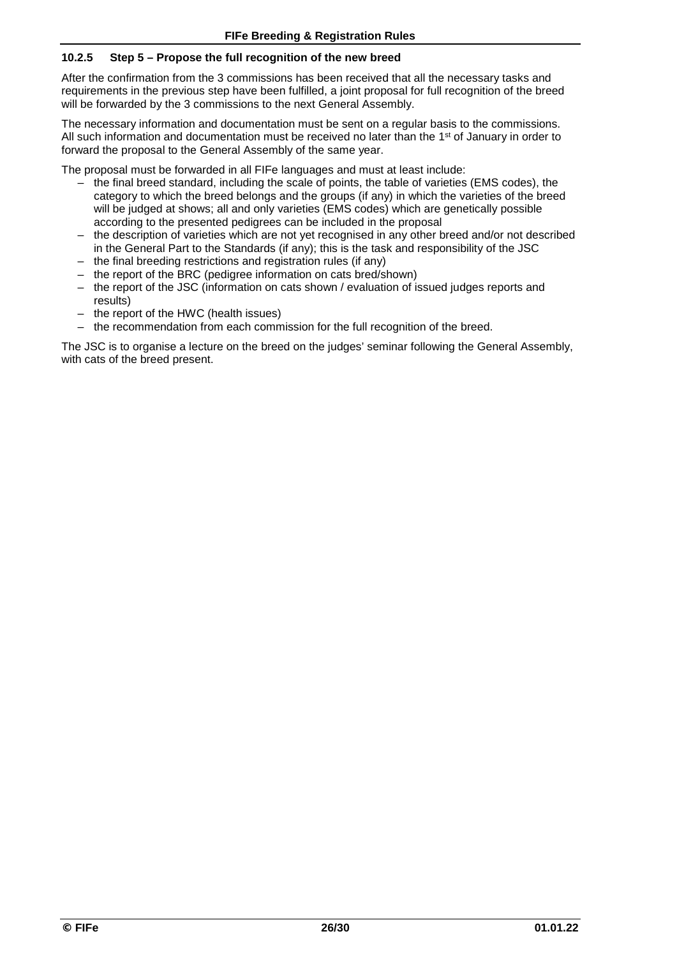#### **10.2.5 Step 5 – Propose the full recognition of the new breed**

After the confirmation from the 3 commissions has been received that all the necessary tasks and requirements in the previous step have been fulfilled, a joint proposal for full recognition of the breed will be forwarded by the 3 commissions to the next General Assembly.

The necessary information and documentation must be sent on a regular basis to the commissions. All such information and documentation must be received no later than the 1<sup>st</sup> of January in order to forward the proposal to the General Assembly of the same year.

The proposal must be forwarded in all FIFe languages and must at least include:

- the final breed standard, including the scale of points, the table of varieties (EMS codes), the category to which the breed belongs and the groups (if any) in which the varieties of the breed will be judged at shows; all and only varieties (EMS codes) which are genetically possible according to the presented pedigrees can be included in the proposal
- the description of varieties which are not yet recognised in any other breed and/or not described in the General Part to the Standards (if any); this is the task and responsibility of the JSC
- the final breeding restrictions and registration rules (if any)
- the report of the BRC (pedigree information on cats bred/shown)
- the report of the JSC (information on cats shown / evaluation of issued judges reports and results)
- the report of the HWC (health issues)
- the recommendation from each commission for the full recognition of the breed.

The JSC is to organise a lecture on the breed on the judges' seminar following the General Assembly, with cats of the breed present.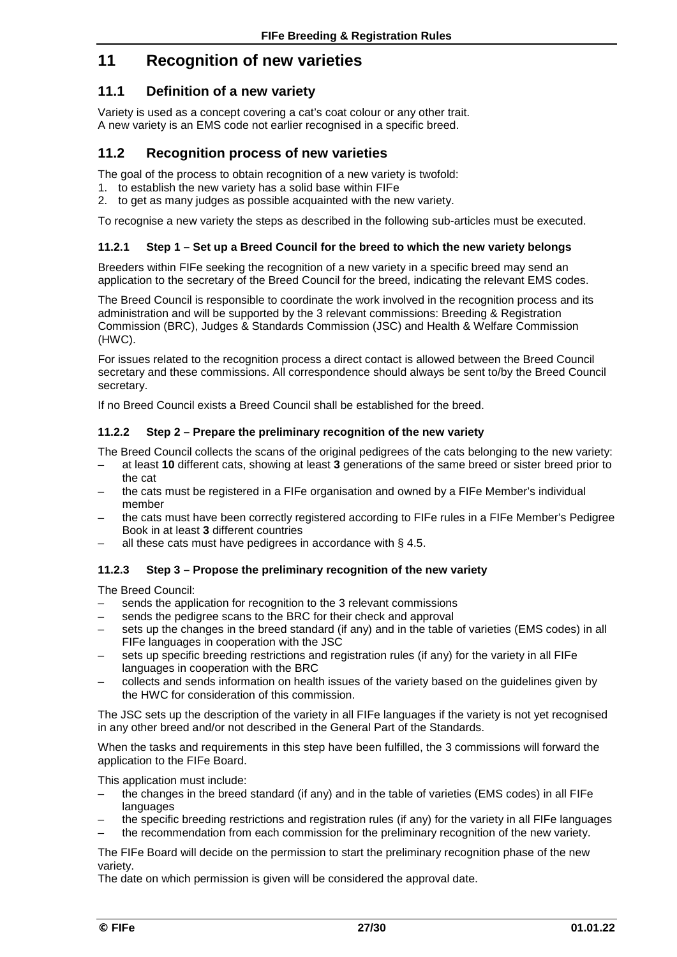# **11 Recognition of new varieties**

### **11.1 Definition of a new variety**

Variety is used as a concept covering a cat's coat colour or any other trait. A new variety is an EMS code not earlier recognised in a specific breed.

### **11.2 Recognition process of new varieties**

The goal of the process to obtain recognition of a new variety is twofold:

- 1. to establish the new variety has a solid base within FIFe
- 2. to get as many judges as possible acquainted with the new variety.

To recognise a new variety the steps as described in the following sub-articles must be executed.

### **11.2.1 Step 1 – Set up a Breed Council for the breed to which the new variety belongs**

Breeders within FIFe seeking the recognition of a new variety in a specific breed may send an application to the secretary of the Breed Council for the breed, indicating the relevant EMS codes.

The Breed Council is responsible to coordinate the work involved in the recognition process and its administration and will be supported by the 3 relevant commissions: Breeding & Registration Commission (BRC), Judges & Standards Commission (JSC) and Health & Welfare Commission (HWC).

For issues related to the recognition process a direct contact is allowed between the Breed Council secretary and these commissions. All correspondence should always be sent to/by the Breed Council secretary.

If no Breed Council exists a Breed Council shall be established for the breed.

#### **11.2.2 Step 2 – Prepare the preliminary recognition of the new variety**

The Breed Council collects the scans of the original pedigrees of the cats belonging to the new variety:

- at least **10** different cats, showing at least **3** generations of the same breed or sister breed prior to the cat
- the cats must be registered in a FIFe organisation and owned by a FIFe Member's individual member
- the cats must have been correctly registered according to FIFe rules in a FIFe Member's Pedigree Book in at least **3** different countries
- all these cats must have pedigrees in accordance with § 4.5.

### **11.2.3 Step 3 – Propose the preliminary recognition of the new variety**

The Breed Council:

- sends the application for recognition to the 3 relevant commissions
- sends the pedigree scans to the BRC for their check and approval
- sets up the changes in the breed standard (if any) and in the table of varieties (EMS codes) in all FIFe languages in cooperation with the JSC
- sets up specific breeding restrictions and registration rules (if any) for the variety in all FIFe languages in cooperation with the BRC
- collects and sends information on health issues of the variety based on the guidelines given by the HWC for consideration of this commission.

The JSC sets up the description of the variety in all FIFe languages if the variety is not yet recognised in any other breed and/or not described in the General Part of the Standards.

When the tasks and requirements in this step have been fulfilled, the 3 commissions will forward the application to the FIFe Board.

This application must include:

- the changes in the breed standard (if any) and in the table of varieties (EMS codes) in all FIFe languages
- the specific breeding restrictions and registration rules (if any) for the variety in all FIFe languages
- the recommendation from each commission for the preliminary recognition of the new variety.

The FIFe Board will decide on the permission to start the preliminary recognition phase of the new variety.

The date on which permission is given will be considered the approval date.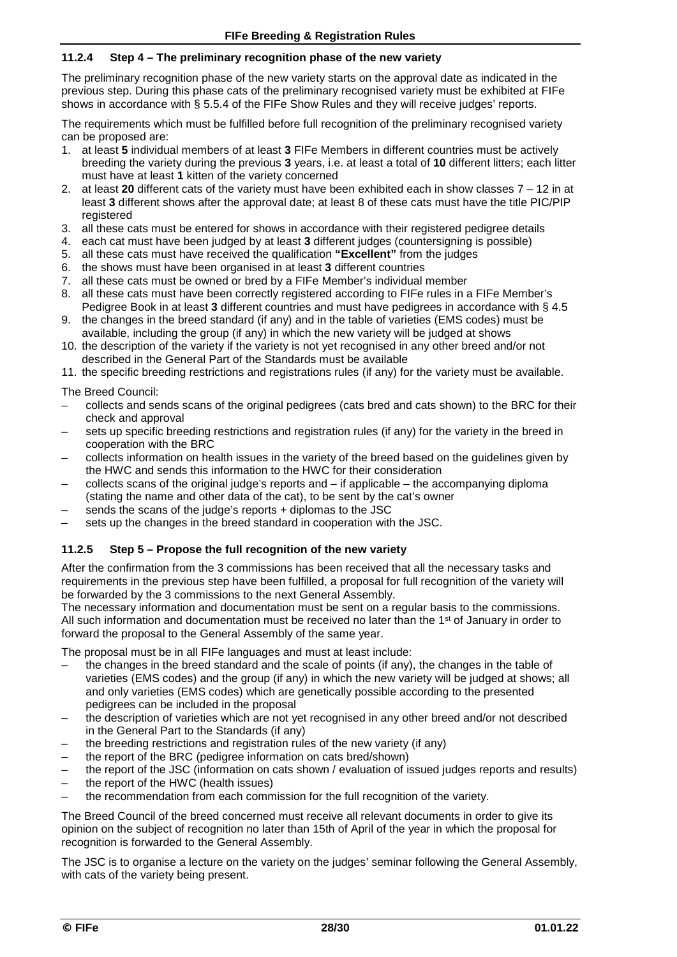#### **11.2.4 Step 4 – The preliminary recognition phase of the new variety**

The preliminary recognition phase of the new variety starts on the approval date as indicated in the previous step. During this phase cats of the preliminary recognised variety must be exhibited at FIFe shows in accordance with § 5.5.4 of the FIFe Show Rules and they will receive judges' reports.

The requirements which must be fulfilled before full recognition of the preliminary recognised variety can be proposed are:

- 1. at least **5** individual members of at least **3** FIFe Members in different countries must be actively breeding the variety during the previous **3** years, i.e. at least a total of **10** different litters; each litter must have at least **1** kitten of the variety concerned
- 2. at least **20** different cats of the variety must have been exhibited each in show classes 7 12 in at least **3** different shows after the approval date; at least 8 of these cats must have the title PIC/PIP registered
- 3. all these cats must be entered for shows in accordance with their registered pedigree details
- 4. each cat must have been judged by at least **3** different judges (countersigning is possible)
- 5. all these cats must have received the qualification **"Excellent"** from the judges
- 6. the shows must have been organised in at least **3** different countries
- 7. all these cats must be owned or bred by a FIFe Member's individual member
- 8. all these cats must have been correctly registered according to FIFe rules in a FIFe Member's Pedigree Book in at least **3** different countries and must have pedigrees in accordance with § 4.5
- 9. the changes in the breed standard (if any) and in the table of varieties (EMS codes) must be available, including the group (if any) in which the new variety will be judged at shows
- 10. the description of the variety if the variety is not yet recognised in any other breed and/or not described in the General Part of the Standards must be available
- 11. the specific breeding restrictions and registrations rules (if any) for the variety must be available.

The Breed Council:

- collects and sends scans of the original pedigrees (cats bred and cats shown) to the BRC for their check and approval
- sets up specific breeding restrictions and registration rules (if any) for the variety in the breed in cooperation with the BRC
- collects information on health issues in the variety of the breed based on the guidelines given by the HWC and sends this information to the HWC for their consideration
- collects scans of the original judge's reports and  $-$  if applicable  $-$  the accompanying diploma (stating the name and other data of the cat), to be sent by the cat's owner
- sends the scans of the judge's reports + diplomas to the JSC
- sets up the changes in the breed standard in cooperation with the JSC.

### **11.2.5 Step 5 – Propose the full recognition of the new variety**

After the confirmation from the 3 commissions has been received that all the necessary tasks and requirements in the previous step have been fulfilled, a proposal for full recognition of the variety will be forwarded by the 3 commissions to the next General Assembly.

The necessary information and documentation must be sent on a regular basis to the commissions. All such information and documentation must be received no later than the  $1<sup>st</sup>$  of January in order to forward the proposal to the General Assembly of the same year.

The proposal must be in all FIFe languages and must at least include:

- the changes in the breed standard and the scale of points (if any), the changes in the table of varieties (EMS codes) and the group (if any) in which the new variety will be judged at shows; all and only varieties (EMS codes) which are genetically possible according to the presented pedigrees can be included in the proposal
- the description of varieties which are not yet recognised in any other breed and/or not described in the General Part to the Standards (if any)
- the breeding restrictions and registration rules of the new variety (if any)
- the report of the BRC (pedigree information on cats bred/shown)
- the report of the JSC (information on cats shown / evaluation of issued judges reports and results)
- the report of the HWC (health issues)
- the recommendation from each commission for the full recognition of the variety.

The Breed Council of the breed concerned must receive all relevant documents in order to give its opinion on the subject of recognition no later than 15th of April of the year in which the proposal for recognition is forwarded to the General Assembly.

The JSC is to organise a lecture on the variety on the judges' seminar following the General Assembly, with cats of the variety being present.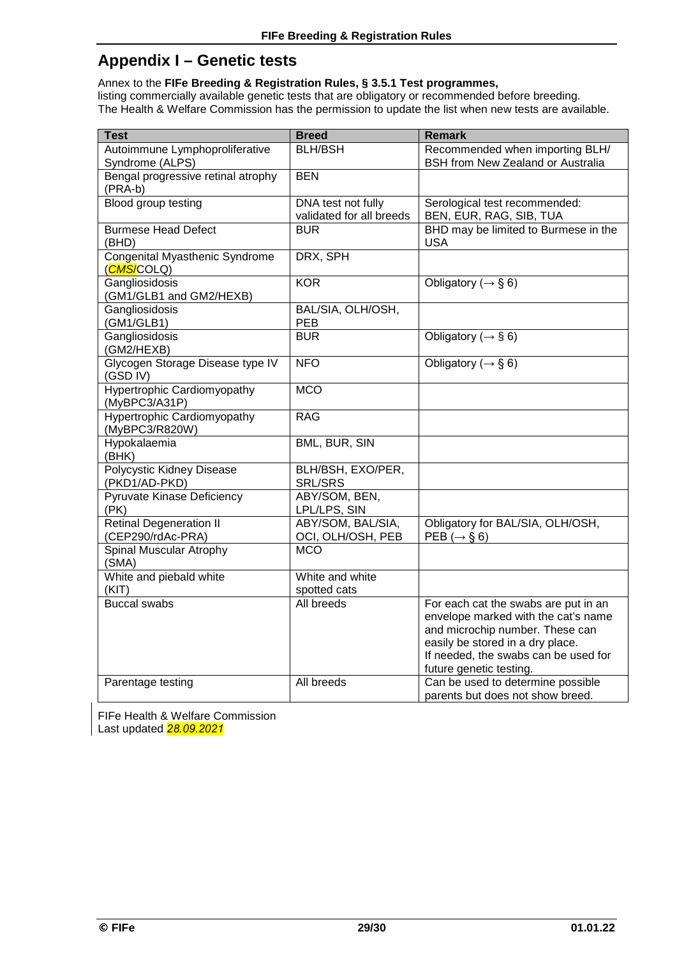# **Appendix I – Genetic tests**

Annex to the **FIFe Breeding & Registration Rules, § 3.5.1 Test programmes,** listing commercially available genetic tests that are obligatory or recommended before breeding. The Health & Welfare Commission has the permission to update the list when new tests are available.

| <b>Test</b>                                          | <b>Breed</b>                                   | <b>Remark</b>                                                                                                                                                                                                         |
|------------------------------------------------------|------------------------------------------------|-----------------------------------------------------------------------------------------------------------------------------------------------------------------------------------------------------------------------|
| Autoimmune Lymphoproliferative                       | <b>BLH/BSH</b>                                 | Recommended when importing BLH/                                                                                                                                                                                       |
| Syndrome (ALPS)                                      |                                                | <b>BSH from New Zealand or Australia</b>                                                                                                                                                                              |
| Bengal progressive retinal atrophy<br>$(PRA-b)$      | <b>BEN</b>                                     |                                                                                                                                                                                                                       |
| Blood group testing                                  | DNA test not fully<br>validated for all breeds | Serological test recommended:<br>BEN, EUR, RAG, SIB, TUA                                                                                                                                                              |
| <b>Burmese Head Defect</b><br>(BHD)                  | <b>BUR</b>                                     | BHD may be limited to Burmese in the<br><b>USA</b>                                                                                                                                                                    |
| Congenital Myasthenic Syndrome<br>(CMS/COLQ)         | DRX, SPH                                       |                                                                                                                                                                                                                       |
| Gangliosidosis<br>(GM1/GLB1 and GM2/HEXB)            | <b>KOR</b>                                     | Obligatory ( $\rightarrow$ § 6)                                                                                                                                                                                       |
| Gangliosidosis<br>(GM1/GLB1)                         | BAL/SIA, OLH/OSH,<br><b>PEB</b>                |                                                                                                                                                                                                                       |
| Gangliosidosis<br>(GM2/HEXB)                         | <b>BUR</b>                                     | Obligatory ( $\rightarrow$ § 6)                                                                                                                                                                                       |
| Glycogen Storage Disease type IV<br>(GSD IV)         | <b>NFO</b>                                     | Obligatory ( $\rightarrow$ § 6)                                                                                                                                                                                       |
| <b>Hypertrophic Cardiomyopathy</b><br>(MyBPC3/A31P)  | <b>MCO</b>                                     |                                                                                                                                                                                                                       |
| <b>Hypertrophic Cardiomyopathy</b><br>(MyBPC3/R820W) | <b>RAG</b>                                     |                                                                                                                                                                                                                       |
| Hypokalaemia<br>(BHK)                                | BML, BUR, SIN                                  |                                                                                                                                                                                                                       |
| Polycystic Kidney Disease<br>(PKD1/AD-PKD)           | BLH/BSH, EXO/PER,<br>SRL/SRS                   |                                                                                                                                                                                                                       |
| <b>Pyruvate Kinase Deficiency</b><br>(PK)            | ABY/SOM, BEN,<br>LPL/LPS, SIN                  |                                                                                                                                                                                                                       |
| <b>Retinal Degeneration II</b><br>(CEP290/rdAc-PRA)  | ABY/SOM, BAL/SIA,<br>OCI, OLH/OSH, PEB         | Obligatory for BAL/SIA, OLH/OSH,<br>PEB ( $\rightarrow$ § 6)                                                                                                                                                          |
| Spinal Muscular Atrophy<br>(SMA)                     | <b>MCO</b>                                     |                                                                                                                                                                                                                       |
| White and piebald white<br>(KIT)                     | White and white<br>spotted cats                |                                                                                                                                                                                                                       |
| Buccal swabs                                         | All breeds                                     | For each cat the swabs are put in an<br>envelope marked with the cat's name<br>and microchip number. These can<br>easily be stored in a dry place.<br>If needed, the swabs can be used for<br>future genetic testing. |
| Parentage testing                                    | All breeds                                     | Can be used to determine possible<br>parents but does not show breed.                                                                                                                                                 |

FIFe Health & Welfare Commission Last updated *28.09.2021*